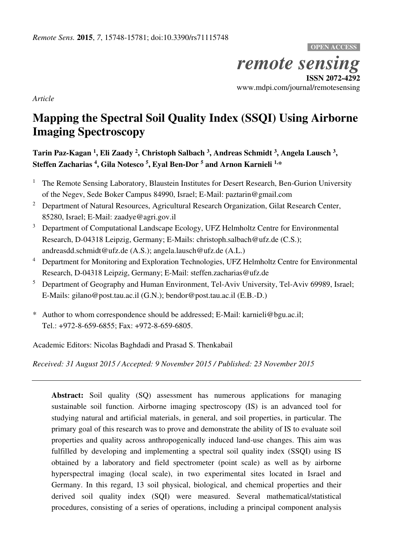*remote sensing*  **ISSN 2072-4292**  www.mdpi.com/journal/remotesensing **OPEN ACCESS**

*Article* 

# **Mapping the Spectral Soil Quality Index (SSQI) Using Airborne Imaging Spectroscopy**

**Tarin Paz-Kagan <sup>1</sup> , Eli Zaady <sup>2</sup> , Christoph Salbach <sup>3</sup> , Andreas Schmidt <sup>3</sup> , Angela Lausch <sup>3</sup> , Steffen Zacharias <sup>4</sup> , Gila Notesco <sup>5</sup> , Eyal Ben-Dor <sup>5</sup> and Arnon Karnieli 1,\*** 

- 1 The Remote Sensing Laboratory, Blaustein Institutes for Desert Research, Ben-Gurion University of the Negev, Sede Boker Campus 84990, Israel; E-Mail: paztarin@gmail.com
- <sup>2</sup> Department of Natural Resources, Agricultural Research Organization, Gilat Research Center, 85280, Israel; E-Mail: zaadye@agri.gov.il
- 3 Department of Computational Landscape Ecology, UFZ Helmholtz Centre for Environmental Research, D-04318 Leipzig, Germany; E-Mails: christoph.salbach@ufz.de (C.S.); andreasdd.schmidt@ufz.de (A.S.); angela.lausch@ufz.de (A.L.)
- <sup>4</sup> Department for Monitoring and Exploration Technologies, UFZ Helmholtz Centre for Environmental Research, D-04318 Leipzig, Germany; E-Mail: steffen.zacharias@ufz.de
- <sup>5</sup> Department of Geography and Human Environment, Tel-Aviv University, Tel-Aviv 69989, Israel; E-Mails: gilano@post.tau.ac.il (G.N.); bendor@post.tau.ac.il (E.B.-D.)
- \* Author to whom correspondence should be addressed; E-Mail: karnieli@bgu.ac.il; Tel.: +972-8-659-6855; Fax: +972-8-659-6805.

Academic Editors: Nicolas Baghdadi and Prasad S. Thenkabail

*Received: 31 August 2015 / Accepted: 9 November 2015 / Published: 23 November 2015* 

**Abstract:** Soil quality (SQ) assessment has numerous applications for managing sustainable soil function. Airborne imaging spectroscopy (IS) is an advanced tool for studying natural and artificial materials, in general, and soil properties, in particular. The primary goal of this research was to prove and demonstrate the ability of IS to evaluate soil properties and quality across anthropogenically induced land-use changes. This aim was fulfilled by developing and implementing a spectral soil quality index (SSQI) using IS obtained by a laboratory and field spectrometer (point scale) as well as by airborne hyperspectral imaging (local scale), in two experimental sites located in Israel and Germany. In this regard, 13 soil physical, biological, and chemical properties and their derived soil quality index (SQI) were measured. Several mathematical/statistical procedures, consisting of a series of operations, including a principal component analysis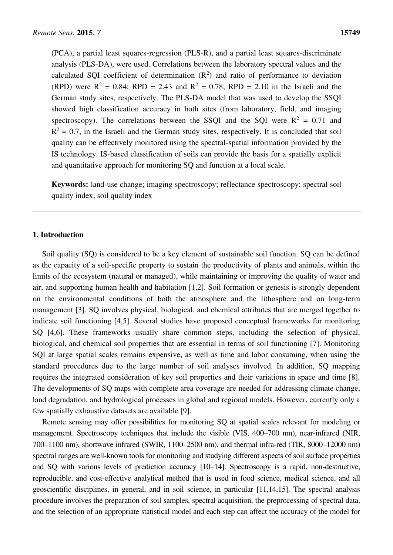(PCA), a partial least squares-regression (PLS-R), and a partial least squares-discriminate analysis (PLS-DA), were used. Correlations between the laboratory spectral values and the calculated SQI coefficient of determination  $(R^2)$  and ratio of performance to deviation (RPD) were  $R^2 = 0.84$ ; RPD = 2.43 and  $R^2 = 0.78$ ; RPD = 2.10 in the Israeli and the German study sites, respectively. The PLS-DA model that was used to develop the SSQI showed high classification accuracy in both sites (from laboratory, field, and imaging spectroscopy). The correlations between the SSQI and the SQI were  $R^2 = 0.71$  and  $R<sup>2</sup> = 0.7$ , in the Israeli and the German study sites, respectively. It is concluded that soil quality can be effectively monitored using the spectral-spatial information provided by the IS technology. IS-based classification of soils can provide the basis for a spatially explicit and quantitative approach for monitoring SQ and function at a local scale.

**Keywords:** land-use change; imaging spectroscopy; reflectance spectroscopy; spectral soil quality index; soil quality index

## **1. Introduction**

Soil quality (SQ) is considered to be a key element of sustainable soil function. SQ can be defined as the capacity of a soil-specific property to sustain the productivity of plants and animals, within the limits of the ecosystem (natural or managed), while maintaining or improving the quality of water and air, and supporting human health and habitation [1,2]. Soil formation or genesis is strongly dependent on the environmental conditions of both the atmosphere and the lithosphere and on long-term management [3]. SQ involves physical, biological, and chemical attributes that are merged together to indicate soil functioning [4,5]. Several studies have proposed conceptual frameworks for monitoring SQ [4,6]. These frameworks usually share common steps, including the selection of physical, biological, and chemical soil properties that are essential in terms of soil functioning [7]. Monitoring SQI at large spatial scales remains expensive, as well as time and labor consuming, when using the standard procedures due to the large number of soil analyses involved. In addition, SQ mapping requires the integrated consideration of key soil properties and their variations in space and time [8]. The developments of SQ maps with complete area coverage are needed for addressing climate change, land degradation, and hydrological processes in global and regional models. However, currently only a few spatially exhaustive datasets are available [9].

Remote sensing may offer possibilities for monitoring SQ at spatial scales relevant for modeling or management. Spectroscopy techniques that include the visible (VIS, 400–700 nm), near-infrared (NIR, 700–1100 nm), shortwave infrared (SWIR, 1100–2500 nm), and thermal infra-red (TIR, 8000–12000 nm) spectral ranges are well-known tools for monitoring and studying different aspects of soil surface properties and SQ with various levels of prediction accuracy [10–14]. Spectroscopy is a rapid, non-destructive, reproducible, and cost-effective analytical method that is used in food science, medical science, and all geoscientific disciplines, in general, and in soil science, in particular [11,14,15]. The spectral analysis procedure involves the preparation of soil samples, spectral acquisition, the preprocessing of spectral data, and the selection of an appropriate statistical model and each step can affect the accuracy of the model for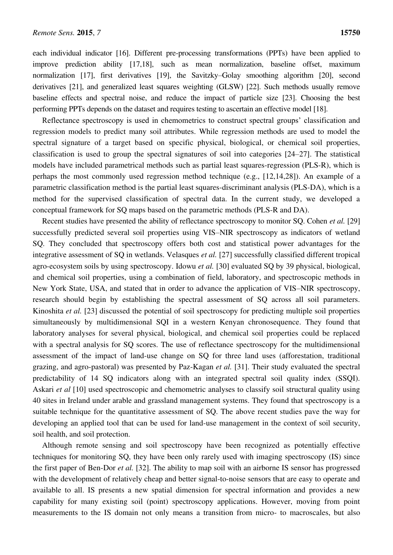each individual indicator [16]. Different pre-processing transformations (PPTs) have been applied to improve prediction ability [17,18], such as mean normalization, baseline offset, maximum normalization [17], first derivatives [19], the Savitzky–Golay smoothing algorithm [20], second derivatives [21], and generalized least squares weighting (GLSW) [22]. Such methods usually remove baseline effects and spectral noise, and reduce the impact of particle size [23]. Choosing the best performing PPTs depends on the dataset and requires testing to ascertain an effective model [18].

Reflectance spectroscopy is used in chemometrics to construct spectral groups' classification and regression models to predict many soil attributes. While regression methods are used to model the spectral signature of a target based on specific physical, biological, or chemical soil properties, classification is used to group the spectral signatures of soil into categories [24–27]. The statistical models have included parametrical methods such as partial least squares-regression (PLS-R), which is perhaps the most commonly used regression method technique (e.g., [12,14,28]). An example of a parametric classification method is the partial least squares-discriminant analysis (PLS-DA), which is a method for the supervised classification of spectral data. In the current study, we developed a conceptual framework for SQ maps based on the parametric methods (PLS-R and DA).

Recent studies have presented the ability of reflectance spectroscopy to monitor SQ. Cohen *et al.* [29] successfully predicted several soil properties using VIS–NIR spectroscopy as indicators of wetland SQ. They concluded that spectroscopy offers both cost and statistical power advantages for the integrative assessment of SQ in wetlands. Velasques *et al.* [27] successfully classified different tropical agro-ecosystem soils by using spectroscopy. Idowu *et al.* [30] evaluated SQ by 39 physical, biological, and chemical soil properties, using a combination of field, laboratory, and spectroscopic methods in New York State, USA, and stated that in order to advance the application of VIS–NIR spectroscopy, research should begin by establishing the spectral assessment of SQ across all soil parameters. Kinoshita *et al.* [23] discussed the potential of soil spectroscopy for predicting multiple soil properties simultaneously by multidimensional SQI in a western Kenyan chronosequence. They found that laboratory analyses for several physical, biological, and chemical soil properties could be replaced with a spectral analysis for SQ scores. The use of reflectance spectroscopy for the multidimensional assessment of the impact of land-use change on SQ for three land uses (afforestation, traditional grazing, and agro-pastoral) was presented by Paz-Kagan *et al.* [31]. Their study evaluated the spectral predictability of 14 SQ indicators along with an integrated spectral soil quality index (SSQI). Askari *et al* [10] used spectroscopic and chemometric analyses to classify soil structural quality using 40 sites in Ireland under arable and grassland management systems. They found that spectroscopy is a suitable technique for the quantitative assessment of SQ. The above recent studies pave the way for developing an applied tool that can be used for land-use management in the context of soil security, soil health, and soil protection.

Although remote sensing and soil spectroscopy have been recognized as potentially effective techniques for monitoring SQ, they have been only rarely used with imaging spectroscopy (IS) since the first paper of Ben-Dor *et al.* [32]. The ability to map soil with an airborne IS sensor has progressed with the development of relatively cheap and better signal-to-noise sensors that are easy to operate and available to all. IS presents a new spatial dimension for spectral information and provides a new capability for many existing soil (point) spectroscopy applications. However, moving from point measurements to the IS domain not only means a transition from micro- to macroscales, but also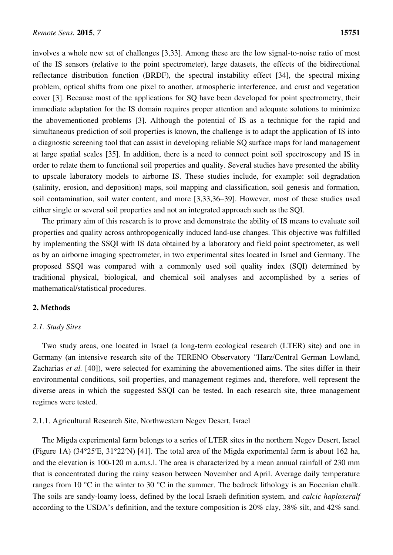involves a whole new set of challenges [3,33]. Among these are the low signal-to-noise ratio of most of the IS sensors (relative to the point spectrometer), large datasets, the effects of the bidirectional reflectance distribution function (BRDF), the spectral instability effect [34], the spectral mixing problem, optical shifts from one pixel to another, atmospheric interference, and crust and vegetation cover [3]. Because most of the applications for SQ have been developed for point spectrometry, their immediate adaptation for the IS domain requires proper attention and adequate solutions to minimize the abovementioned problems [3]. Although the potential of IS as a technique for the rapid and simultaneous prediction of soil properties is known, the challenge is to adapt the application of IS into a diagnostic screening tool that can assist in developing reliable SQ surface maps for land management at large spatial scales [35]. In addition, there is a need to connect point soil spectroscopy and IS in order to relate them to functional soil properties and quality. Several studies have presented the ability to upscale laboratory models to airborne IS. These studies include, for example: soil degradation (salinity, erosion, and deposition) maps, soil mapping and classification, soil genesis and formation, soil contamination, soil water content, and more [3,33,36–39]. However, most of these studies used either single or several soil properties and not an integrated approach such as the SQI.

The primary aim of this research is to prove and demonstrate the ability of IS means to evaluate soil properties and quality across anthropogenically induced land-use changes. This objective was fulfilled by implementing the SSQI with IS data obtained by a laboratory and field point spectrometer, as well as by an airborne imaging spectrometer, in two experimental sites located in Israel and Germany. The proposed SSQI was compared with a commonly used soil quality index (SQI) determined by traditional physical, biological, and chemical soil analyses and accomplished by a series of mathematical/statistical procedures.

# **2. Methods**

#### *2.1. Study Sites*

Two study areas, one located in Israel (a long-term ecological research (LTER) site) and one in Germany (an intensive research site of the TERENO Observatory "Harz/Central German Lowland, Zacharias *et al.* [40]), were selected for examining the abovementioned aims. The sites differ in their environmental conditions, soil properties, and management regimes and, therefore, well represent the diverse areas in which the suggested SSQI can be tested. In each research site, three management regimes were tested.

#### 2.1.1. Agricultural Research Site, Northwestern Negev Desert, Israel

The Migda experimental farm belongs to a series of LTER sites in the northern Negev Desert, Israel (Figure 1A) (34°25′E, 31°22′N) [41]. The total area of the Migda experimental farm is about 162 ha, and the elevation is 100-120 m a.m.s.l. The area is characterized by a mean annual rainfall of 230 mm that is concentrated during the rainy season between November and April. Average daily temperature ranges from 10  $\degree$ C in the winter to 30  $\degree$ C in the summer. The bedrock lithology is an Eocenian chalk. The soils are sandy-loamy loess, defined by the local Israeli definition system, and *calcic haploxeralf* according to the USDA's definition, and the texture composition is 20% clay, 38% silt, and 42% sand.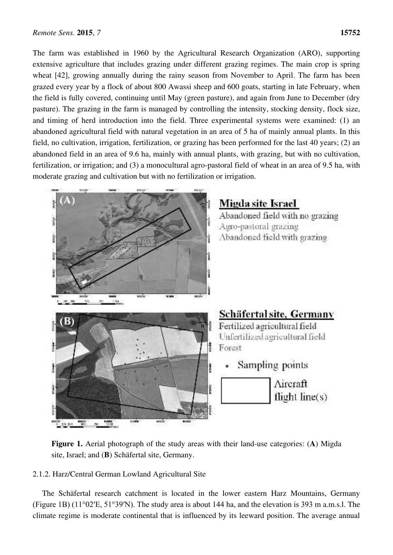The farm was established in 1960 by the Agricultural Research Organization (ARO), supporting extensive agriculture that includes grazing under different grazing regimes. The main crop is spring wheat [42], growing annually during the rainy season from November to April. The farm has been grazed every year by a flock of about 800 Awassi sheep and 600 goats, starting in late February, when the field is fully covered, continuing until May (green pasture), and again from June to December (dry pasture). The grazing in the farm is managed by controlling the intensity, stocking density, flock size, and timing of herd introduction into the field. Three experimental systems were examined: (1) an abandoned agricultural field with natural vegetation in an area of 5 ha of mainly annual plants. In this field, no cultivation, irrigation, fertilization, or grazing has been performed for the last 40 years; (2) an abandoned field in an area of 9.6 ha, mainly with annual plants, with grazing, but with no cultivation, fertilization, or irrigation; and (3) a monocultural agro-pastoral field of wheat in an area of 9.5 ha, with moderate grazing and cultivation but with no fertilization or irrigation.



**Figure 1.** Aerial photograph of the study areas with their land-use categories: (**A**) Migda site, Israel; and (**B**) Schäfertal site, Germany.

2.1.2. Harz/Central German Lowland Agricultural Site

The Schäfertal research catchment is located in the lower eastern Harz Mountains, Germany (Figure 1B) (11°02′E, 51°39′N). The study area is about 144 ha, and the elevation is 393 m a.m.s.l. The climate regime is moderate continental that is influenced by its leeward position. The average annual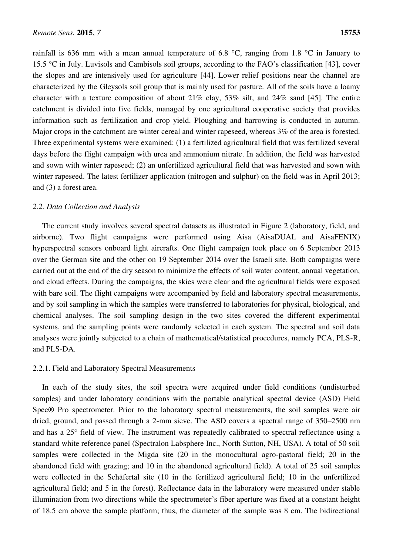rainfall is 636 mm with a mean annual temperature of 6.8 °C, ranging from 1.8 °C in January to 15.5 °C in July. Luvisols and Cambisols soil groups, according to the FAO's classification [43], cover the slopes and are intensively used for agriculture [44]. Lower relief positions near the channel are characterized by the Gleysols soil group that is mainly used for pasture. All of the soils have a loamy character with a texture composition of about  $21\%$  clay,  $53\%$  silt, and  $24\%$  sand [45]. The entire catchment is divided into five fields, managed by one agricultural cooperative society that provides information such as fertilization and crop yield. Ploughing and harrowing is conducted in autumn. Major crops in the catchment are winter cereal and winter rapeseed, whereas 3% of the area is forested. Three experimental systems were examined: (1) a fertilized agricultural field that was fertilized several days before the flight campaign with urea and ammonium nitrate. In addition, the field was harvested and sown with winter rapeseed; (2) an unfertilized agricultural field that was harvested and sown with winter rapeseed. The latest fertilizer application (nitrogen and sulphur) on the field was in April 2013; and (3) a forest area.

#### *2.2. Data Collection and Analysis*

The current study involves several spectral datasets as illustrated in Figure 2 (laboratory, field, and airborne). Two flight campaigns were performed using Aisa (AisaDUAL and AisaFENIX) hyperspectral sensors onboard light aircrafts. One flight campaign took place on 6 September 2013 over the German site and the other on 19 September 2014 over the Israeli site. Both campaigns were carried out at the end of the dry season to minimize the effects of soil water content, annual vegetation, and cloud effects. During the campaigns, the skies were clear and the agricultural fields were exposed with bare soil. The flight campaigns were accompanied by field and laboratory spectral measurements, and by soil sampling in which the samples were transferred to laboratories for physical, biological, and chemical analyses. The soil sampling design in the two sites covered the different experimental systems, and the sampling points were randomly selected in each system. The spectral and soil data analyses were jointly subjected to a chain of mathematical/statistical procedures, namely PCA, PLS-R, and PLS-DA.

#### 2.2.1. Field and Laboratory Spectral Measurements

In each of the study sites, the soil spectra were acquired under field conditions (undisturbed samples) and under laboratory conditions with the portable analytical spectral device (ASD) Field Spec® Pro spectrometer. Prior to the laboratory spectral measurements, the soil samples were air dried, ground, and passed through a 2-mm sieve. The ASD covers a spectral range of 350–2500 nm and has a 25° field of view. The instrument was repeatedly calibrated to spectral reflectance using a standard white reference panel (Spectralon Labsphere Inc., North Sutton, NH, USA). A total of 50 soil samples were collected in the Migda site (20 in the monocultural agro-pastoral field; 20 in the abandoned field with grazing; and 10 in the abandoned agricultural field). A total of 25 soil samples were collected in the Schäfertal site (10 in the fertilized agricultural field; 10 in the unfertilized agricultural field; and 5 in the forest). Reflectance data in the laboratory were measured under stable illumination from two directions while the spectrometer's fiber aperture was fixed at a constant height of 18.5 cm above the sample platform; thus, the diameter of the sample was 8 cm. The bidirectional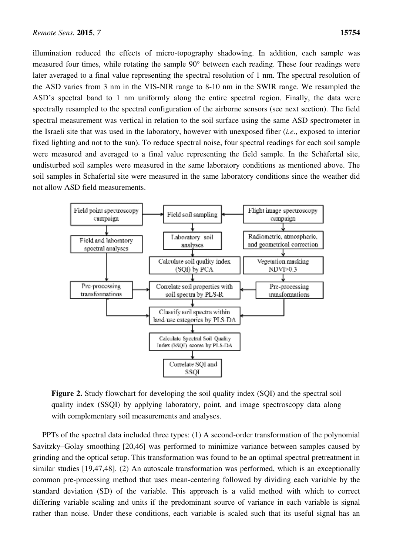illumination reduced the effects of micro-topography shadowing. In addition, each sample was measured four times, while rotating the sample 90° between each reading. These four readings were later averaged to a final value representing the spectral resolution of 1 nm. The spectral resolution of the ASD varies from 3 nm in the VIS-NIR range to 8-10 nm in the SWIR range. We resampled the ASD's spectral band to 1 nm uniformly along the entire spectral region. Finally, the data were spectrally resampled to the spectral configuration of the airborne sensors (see next section). The field spectral measurement was vertical in relation to the soil surface using the same ASD spectrometer in the Israeli site that was used in the laboratory, however with unexposed fiber (*i.e.*, exposed to interior fixed lighting and not to the sun). To reduce spectral noise, four spectral readings for each soil sample were measured and averaged to a final value representing the field sample. In the Schäfertal site, undisturbed soil samples were measured in the same laboratory conditions as mentioned above. The soil samples in Schafertal site were measured in the same laboratory conditions since the weather did not allow ASD field measurements.



**Figure 2.** Study flowchart for developing the soil quality index (SOI) and the spectral soil quality index (SSQI) by applying laboratory, point, and image spectroscopy data along with complementary soil measurements and analyses.

PPTs of the spectral data included three types: (1) A second-order transformation of the polynomial Savitzky–Golay smoothing [20,46] was performed to minimize variance between samples caused by grinding and the optical setup. This transformation was found to be an optimal spectral pretreatment in similar studies [19,47,48]. (2) An autoscale transformation was performed, which is an exceptionally common pre-processing method that uses mean-centering followed by dividing each variable by the standard deviation (SD) of the variable. This approach is a valid method with which to correct differing variable scaling and units if the predominant source of variance in each variable is signal rather than noise. Under these conditions, each variable is scaled such that its useful signal has an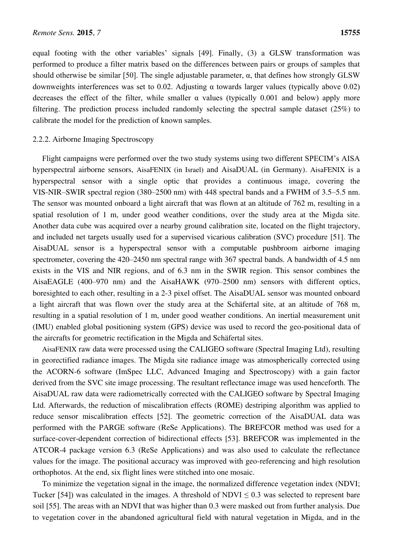equal footing with the other variables' signals [49]. Finally, (3) a GLSW transformation was performed to produce a filter matrix based on the differences between pairs or groups of samples that should otherwise be similar [50]. The single adjustable parameter,  $\alpha$ , that defines how strongly GLSW downweights interferences was set to 0.02. Adjusting α towards larger values (typically above 0.02) decreases the effect of the filter, while smaller  $\alpha$  values (typically 0.001 and below) apply more filtering. The prediction process included randomly selecting the spectral sample dataset (25%) to calibrate the model for the prediction of known samples.

## 2.2.2. Airborne Imaging Spectroscopy

Flight campaigns were performed over the two study systems using two different SPECIM's AISA hyperspectral airborne sensors, AisaFENIX (in Israel) and AisaDUAL (in Germany). AisaFENIX is a hyperspectral sensor with a single optic that provides a continuous image, covering the VIS-NIR–SWIR spectral region (380–2500 nm) with 448 spectral bands and a FWHM of 3.5–5.5 nm. The sensor was mounted onboard a light aircraft that was flown at an altitude of 762 m, resulting in a spatial resolution of 1 m, under good weather conditions, over the study area at the Migda site. Another data cube was acquired over a nearby ground calibration site, located on the flight trajectory, and included net targets usually used for a supervised vicarious calibration (SVC) procedure [51]. The AisaDUAL sensor is a hyperspectral sensor with a computable pushbroom airborne imaging spectrometer, covering the 420–2450 nm spectral range with 367 spectral bands. A bandwidth of 4.5 nm exists in the VIS and NIR regions, and of 6.3 nm in the SWIR region. This sensor combines the AisaEAGLE (400–970 nm) and the AisaHAWK (970–2500 nm) sensors with different optics, boresighted to each other, resulting in a 2-3 pixel offset. The AisaDUAL sensor was mounted onboard a light aircraft that was flown over the study area at the Schäfertal site, at an altitude of 768 m, resulting in a spatial resolution of 1 m, under good weather conditions. An inertial measurement unit (IMU) enabled global positioning system (GPS) device was used to record the geo-positional data of the aircrafts for geometric rectification in the Migda and Schäfertal sites.

AisaFENIX raw data were processed using the CALIGEO software (Spectral Imaging Ltd), resulting in georectified radiance images. The Migda site radiance image was atmospherically corrected using the ACORN-6 software (ImSpec LLC, Advanced Imaging and Spectroscopy) with a gain factor derived from the SVC site image processing. The resultant reflectance image was used henceforth. The AisaDUAL raw data were radiometrically corrected with the CALIGEO software by Spectral Imaging Ltd. Afterwards, the reduction of miscalibration effects (ROME) destriping algorithm was applied to reduce sensor miscalibration effects [52]. The geometric correction of the AisaDUAL data was performed with the PARGE software (ReSe Applications). The BREFCOR method was used for a surface-cover-dependent correction of bidirectional effects [53]. BREFCOR was implemented in the ATCOR-4 package version 6.3 (ReSe Applications) and was also used to calculate the reflectance values for the image. The positional accuracy was improved with geo-referencing and high resolution orthophotos. At the end, six flight lines were stitched into one mosaic.

To minimize the vegetation signal in the image, the normalized difference vegetation index (NDVI; Tucker [54]) was calculated in the images. A threshold of NDVI  $\leq 0.3$  was selected to represent bare soil [55]. The areas with an NDVI that was higher than 0.3 were masked out from further analysis. Due to vegetation cover in the abandoned agricultural field with natural vegetation in Migda, and in the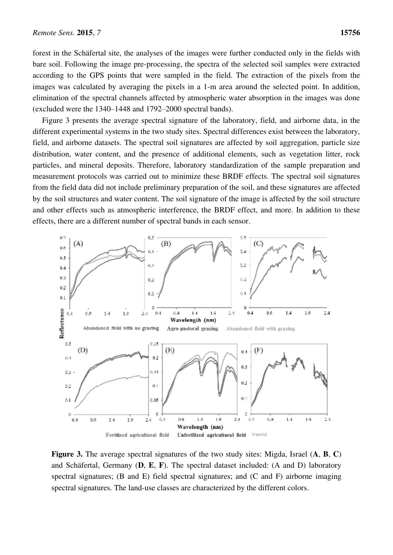forest in the Schäfertal site, the analyses of the images were further conducted only in the fields with bare soil. Following the image pre-processing, the spectra of the selected soil samples were extracted according to the GPS points that were sampled in the field. The extraction of the pixels from the images was calculated by averaging the pixels in a 1-m area around the selected point. In addition, elimination of the spectral channels affected by atmospheric water absorption in the images was done (excluded were the 1340–1448 and 1792–2000 spectral bands).

Figure 3 presents the average spectral signature of the laboratory, field, and airborne data, in the different experimental systems in the two study sites. Spectral differences exist between the laboratory, field, and airborne datasets. The spectral soil signatures are affected by soil aggregation, particle size distribution, water content, and the presence of additional elements, such as vegetation litter, rock particles, and mineral deposits. Therefore, laboratory standardization of the sample preparation and measurement protocols was carried out to minimize these BRDF effects. The spectral soil signatures from the field data did not include preliminary preparation of the soil, and these signatures are affected by the soil structures and water content. The soil signature of the image is affected by the soil structure and other effects such as atmospheric interference, the BRDF effect, and more. In addition to these effects, there are a different number of spectral bands in each sensor.



**Figure 3.** The average spectral signatures of the two study sites: Migda, Israel (**A**, **B**, **C**) and Schäfertal, Germany (**D**, **E**, **F**). The spectral dataset included: (A and D) laboratory spectral signatures; (B and E) field spectral signatures; and (C and F) airborne imaging spectral signatures. The land-use classes are characterized by the different colors.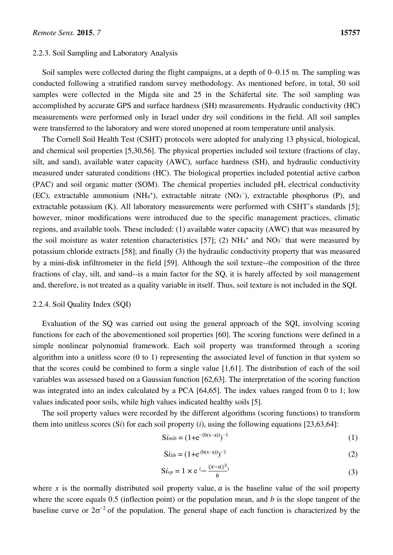#### 2.2.3. Soil Sampling and Laboratory Analysis

Soil samples were collected during the flight campaigns, at a depth of 0–0.15 m. The sampling was conducted following a stratified random survey methodology. As mentioned before, in total, 50 soil samples were collected in the Migda site and 25 in the Schäfertal site. The soil sampling was accomplished by accurate GPS and surface hardness (SH) measurements. Hydraulic conductivity (HC) measurements were performed only in Israel under dry soil conditions in the field. All soil samples were transferred to the laboratory and were stored unopened at room temperature until analysis.

The Cornell Soil Health Test (CSHT) protocols were adopted for analyzing 13 physical, biological, and chemical soil properties [5,30,56]. The physical properties included soil texture (fractions of clay, silt, and sand), available water capacity (AWC), surface hardness (SH), and hydraulic conductivity measured under saturated conditions (HC). The biological properties included potential active carbon (PAC) and soil organic matter (SOM). The chemical properties included pH, electrical conductivity (EC), extractable ammonium (NH<sub>4</sub><sup>+</sup>), extractable nitrate (NO<sub>3</sub><sup>-</sup>), extractable phosphorus (P), and extractable potassium (K). All laboratory measurements were performed with CSHT's standards [5];

however, minor modifications were introduced due to the specific management practices, climatic regions, and available tools. These included: (1) available water capacity (AWC) that was measured by the soil moisture as water retention characteristics [57]; (2)  $NH_4$ <sup>+</sup> and  $NO_3$ <sup>-</sup> that were measured by potassium chloride extracts [58]; and finally (3) the hydraulic conductivity property that was measured by a mini-disk infiltrometer in the field [59]. Although the soil texture--the composition of the three fractions of clay, silt, and sand--is a main factor for the SQ, it is barely affected by soil management and, therefore, is not treated as a quality variable in itself. Thus, soil texture is not included in the SQI.

## 2.2.4. Soil Quality Index (SQI)

Evaluation of the SQ was carried out using the general approach of the SQI, involving scoring functions for each of the abovementioned soil properties [60]. The scoring functions were defined in a simple nonlinear polynomial framework. Each soil property was transformed through a scoring algorithm into a unitless score (0 to 1) representing the associated level of function in that system so that the scores could be combined to form a single value [1,61]. The distribution of each of the soil variables was assessed based on a Gaussian function [62,63]. The interpretation of the scoring function was integrated into an index calculated by a PCA [64,65]. The index values ranged from 0 to 1; low values indicated poor soils, while high values indicated healthy soils [5].

The soil property values were recorded by the different algorithms (scoring functions) to transform them into unitless scores (S*i*) for each soil property (*i*), using the following equations [23,63,64]:

$$
S_{imib} = (1 + e^{-(b(x-a))})^{-1}
$$
 (1)

$$
Si_{lib} = (1 + e^{(b(x-a))})^{-1}
$$
 (2)

$$
Si_{op} = 1 \times e^{-\frac{(x-a)^2}{b}}
$$
 (3)

where x is the normally distributed soil property value,  $\alpha$  is the baseline value of the soil property where the score equals 0.5 (inflection point) or the population mean, and *b* is the slope tangent of the baseline curve or  $2\sigma^{-2}$  of the population. The general shape of each function is characterized by the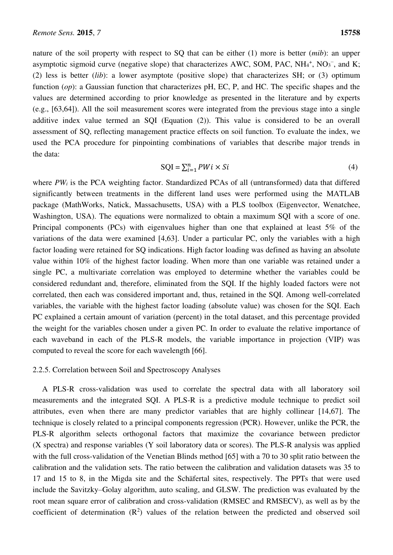nature of the soil property with respect to SQ that can be either (1) more is better (*mib*): an upper asymptotic sigmoid curve (negative slope) that characterizes AWC, SOM, PAC, NH $4^+$ , NO $3^-$ , and K; (2) less is better (*lib*): a lower asymptote (positive slope) that characterizes SH; or (3) optimum function (*op*): a Gaussian function that characterizes pH, EC, P, and HC. The specific shapes and the values are determined according to prior knowledge as presented in the literature and by experts (e.g., [63,64]). All the soil measurement scores were integrated from the previous stage into a single additive index value termed an SQI (Equation (2)). This value is considered to be an overall assessment of SQ, reflecting management practice effects on soil function. To evaluate the index, we used the PCA procedure for pinpointing combinations of variables that describe major trends in the data:

$$
SQL = \sum_{i=1}^{n} PWi \times Si \tag{4}
$$

where *PW<sub>i</sub>* is the PCA weighting factor. Standardized PCAs of all (untransformed) data that differed significantly between treatments in the different land uses were performed using the MATLAB package (MathWorks, Natick, Massachusetts, USA) with a PLS toolbox (Eigenvector, Wenatchee, Washington, USA). The equations were normalized to obtain a maximum SQI with a score of one. Principal components (PCs) with eigenvalues higher than one that explained at least 5% of the variations of the data were examined [4,63]. Under a particular PC, only the variables with a high factor loading were retained for SQ indications. High factor loading was defined as having an absolute value within 10% of the highest factor loading. When more than one variable was retained under a single PC, a multivariate correlation was employed to determine whether the variables could be considered redundant and, therefore, eliminated from the SQI. If the highly loaded factors were not correlated, then each was considered important and, thus, retained in the SQI. Among well-correlated variables, the variable with the highest factor loading (absolute value) was chosen for the SQI. Each PC explained a certain amount of variation (percent) in the total dataset, and this percentage provided the weight for the variables chosen under a given PC. In order to evaluate the relative importance of each waveband in each of the PLS-R models, the variable importance in projection (VIP) was computed to reveal the score for each wavelength [66].

#### 2.2.5. Correlation between Soil and Spectroscopy Analyses

A PLS-R cross-validation was used to correlate the spectral data with all laboratory soil measurements and the integrated SQI. A PLS-R is a predictive module technique to predict soil attributes, even when there are many predictor variables that are highly collinear [14,67]. The technique is closely related to a principal components regression (PCR). However, unlike the PCR, the PLS-R algorithm selects orthogonal factors that maximize the covariance between predictor (X spectra) and response variables (Y soil laboratory data or scores). The PLS-R analysis was applied with the full cross-validation of the Venetian Blinds method [65] with a 70 to 30 split ratio between the calibration and the validation sets. The ratio between the calibration and validation datasets was 35 to 17 and 15 to 8, in the Migda site and the Schäfertal sites, respectively. The PPTs that were used include the Savitzky–Golay algorithm, auto scaling, and GLSW. The prediction was evaluated by the root mean square error of calibration and cross-validation (RMSEC and RMSECV), as well as by the coefficient of determination  $(R^2)$  values of the relation between the predicted and observed soil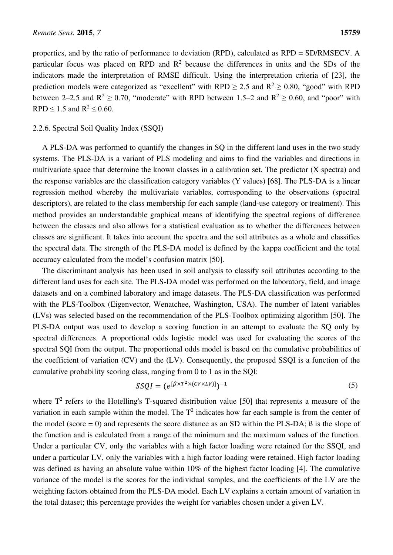properties, and by the ratio of performance to deviation (RPD), calculated as RPD = SD/RMSECV. A particular focus was placed on RPD and  $R^2$  because the differences in units and the SDs of the indicators made the interpretation of RMSE difficult. Using the interpretation criteria of [23], the prediction models were categorized as "excellent" with RPD  $\geq$  2.5 and R<sup>2</sup>  $\geq$  0.80, "good" with RPD between 2–2.5 and  $R^2 \ge 0.70$ , "moderate" with RPD between 1.5–2 and  $R^2 > 0.60$ , and "poor" with RPD < 1.5 and  $R^2$  < 0.60.

# 2.2.6. Spectral Soil Quality Index (SSQI)

A PLS-DA was performed to quantify the changes in SQ in the different land uses in the two study systems. The PLS-DA is a variant of PLS modeling and aims to find the variables and directions in multivariate space that determine the known classes in a calibration set. The predictor (X spectra) and the response variables are the classification category variables (Y values) [68]. The PLS-DA is a linear regression method whereby the multivariate variables, corresponding to the observations (spectral descriptors), are related to the class membership for each sample (land-use category or treatment). This method provides an understandable graphical means of identifying the spectral regions of difference between the classes and also allows for a statistical evaluation as to whether the differences between classes are significant. It takes into account the spectra and the soil attributes as a whole and classifies the spectral data. The strength of the PLS-DA model is defined by the kappa coefficient and the total accuracy calculated from the model's confusion matrix [50].

The discriminant analysis has been used in soil analysis to classify soil attributes according to the different land uses for each site. The PLS-DA model was performed on the laboratory, field, and image datasets and on a combined laboratory and image datasets. The PLS-DA classification was performed with the PLS-Toolbox (Eigenvector, Wenatchee, Washington, USA). The number of latent variables (LVs) was selected based on the recommendation of the PLS-Toolbox optimizing algorithm [50]. The PLS-DA output was used to develop a scoring function in an attempt to evaluate the SQ only by spectral differences. A proportional odds logistic model was used for evaluating the scores of the spectral SQI from the output. The proportional odds model is based on the cumulative probabilities of the coefficient of variation (CV) and the (LV). Consequently, the proposed SSQI is a function of the cumulative probability scoring class, ranging from 0 to 1 as in the SQI:

$$
SSQI = (e^{[\beta \times T^2 \times (CV \times LV)]})^{-1}
$$
 (5)

where  $T^2$  refers to the Hotelling's T-squared distribution value [50] that represents a measure of the variation in each sample within the model. The  $T^2$  indicates how far each sample is from the center of the model (score  $= 0$ ) and represents the score distance as an SD within the PLS-DA;  $\beta$  is the slope of the function and is calculated from a range of the minimum and the maximum values of the function. Under a particular CV, only the variables with a high factor loading were retained for the SSQI, and under a particular LV, only the variables with a high factor loading were retained. High factor loading was defined as having an absolute value within 10% of the highest factor loading [4]. The cumulative variance of the model is the scores for the individual samples, and the coefficients of the LV are the weighting factors obtained from the PLS-DA model. Each LV explains a certain amount of variation in the total dataset; this percentage provides the weight for variables chosen under a given LV.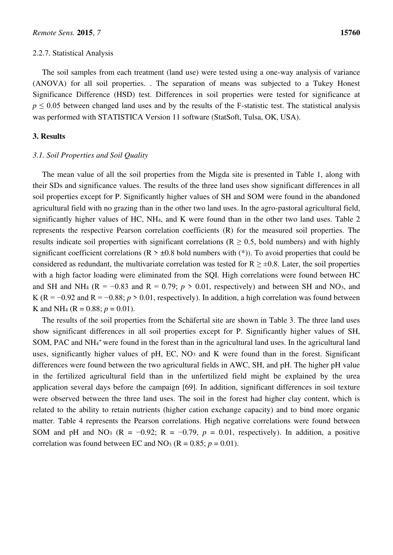#### 2.2.7. Statistical Analysis

The soil samples from each treatment (land use) were tested using a one-way analysis of variance (ANOVA) for all soil properties. . The separation of means was subjected to a Tukey Honest Significance Difference (HSD) test. Differences in soil properties were tested for significance at  $p \le 0.05$  between changed land uses and by the results of the F-statistic test. The statistical analysis was performed with STATISTICA Version 11 software (StatSoft, Tulsa, OK, USA).

## **3. Results**

#### *3.1. Soil Properties and Soil Quality*

The mean value of all the soil properties from the Migda site is presented in Table 1, along with their SDs and significance values. The results of the three land uses show significant differences in all soil properties except for P. Significantly higher values of SH and SOM were found in the abandoned agricultural field with no grazing than in the other two land uses. In the agro-pastoral agricultural field, significantly higher values of HC, NH4, and K were found than in the other two land uses. Table 2 represents the respective Pearson correlation coefficients (R) for the measured soil properties. The results indicate soil properties with significant correlations ( $R > 0.5$ , bold numbers) and with highly significant coefficient correlations ( $R > \pm 0.8$  bold numbers with (\*)). To avoid properties that could be considered as redundant, the multivariate correlation was tested for  $R \ge \pm 0.8$ . Later, the soil properties with a high factor loading were eliminated from the SQI. High correlations were found between HC and SH and NH<sub>4</sub> ( $R = -0.83$  and  $R = 0.79$ ;  $p > 0.01$ , respectively) and between SH and NO<sub>3</sub>, and K (R =  $-0.92$  and R =  $-0.88$ ; *p* > 0.01, respectively). In addition, a high correlation was found between K and NH<sub>4</sub> (R = 0.88;  $p = 0.01$ ).

The results of the soil properties from the Schäfertal site are shown in Table 3. The three land uses show significant differences in all soil properties except for P. Significantly higher values of SH, SOM, PAC and NH<sub>4</sub><sup>+</sup> were found in the forest than in the agricultural land uses. In the agricultural land uses, significantly higher values of pH, EC, NO<sub>3</sub> and K were found than in the forest. Significant differences were found between the two agricultural fields in AWC, SH, and pH. The higher pH value in the fertilized agricultural field than in the unfertilized field might be explained by the urea application several days before the campaign [69]. In addition, significant differences in soil texture were observed between the three land uses. The soil in the forest had higher clay content, which is related to the ability to retain nutrients (higher cation exchange capacity) and to bind more organic matter. Table 4 represents the Pearson correlations. High negative correlations were found between SOM and pH and NO<sub>3</sub> (R =  $-0.92$ ; R =  $-0.79$ , p = 0.01, respectively). In addition, a positive correlation was found between EC and NO<sub>3</sub> ( $R = 0.85$ ;  $p = 0.01$ ).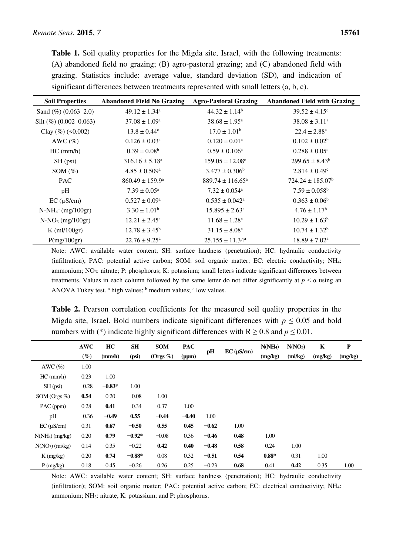**Table 1.** Soil quality properties for the Migda site, Israel, with the following treatments: (A) abandoned field no grazing; (B) agro-pastoral grazing; and (C) abandoned field with grazing. Statistics include: average value, standard deviation (SD), and indication of significant differences between treatments represented with small letters (a, b, c).

| <b>Soil Properties</b>   | <b>Abandoned Field No Grazing</b> | <b>Agro-Pastoral Grazing</b>    | <b>Abandoned Field with Grazing</b> |
|--------------------------|-----------------------------------|---------------------------------|-------------------------------------|
| Sand $(\%)(0.063-2.0)$   | $49.12 \pm 1.34$ <sup>a</sup>     | $44.32 \pm 1.14^b$              | $39.52 \pm 4.15^{\circ}$            |
| Silt $(\%)(0.002-0.063)$ | $37.08 \pm 1.09^{\text{a}}$       | $38.68 \pm 1.95^{\text{a}}$     | $38.08 \pm 3.11^a$                  |
| Clay $(\%)(\leq 0.002)$  | $13.8 \pm 0.44$ <sup>c</sup>      | $17.0 \pm 1.01^b$               | $22.4 \pm 2.88^{\text{a}}$          |
| AWC $(\% )$              | $0.126 \pm 0.03^a$                | $0.120 \pm 0.01^a$              | $0.102 \pm 0.02^b$                  |
| HC (mm/h)                | $0.39 \pm 0.08^b$                 | $0.59 \pm 0.106^{\circ}$        | $0.288 \pm 0.05^{\circ}$            |
| SH (psi)                 | $316.16 \pm 5.18^a$               | $159.05 \pm 12.08$ <sup>c</sup> | $299.65 \pm 8.43^b$                 |
| SOM $(\%)$               | $4.85 \pm 0.509^{\rm a}$          | $3.477 \pm 0.306^b$             | $2.814 \pm 0.49^{\circ}$            |
| <b>PAC</b>               | $860.49 \pm 159.9^{\circ}$        | $889.74 \pm 116.65^{\circ}$     | $724.24 \pm 185.07^b$               |
| pH                       | $7.39 \pm 0.05^{\text{a}}$        | $7.32 \pm 0.054$ <sup>a</sup>   | $7.59 \pm 0.058^{\rm b}$            |
| $EC (\mu S/cm)$          | $0.527 \pm 0.09^{\text{a}}$       | $0.535 \pm 0.042^{\text{a}}$    | $0.363 \pm 0.06^b$                  |
| $N-NH_4^+(mg/100gr)$     | $3.30 \pm 1.01^b$                 | $15.895 \pm 2.63^{\circ}$       | $4.76 \pm 1.17^b$                   |
| $N-NO_3$ (mg/100gr)      | $12.21 \pm 2.45^{\circ}$          | $11.68 \pm 1.28$ <sup>a</sup>   | $10.29 \pm 1.63^b$                  |
| $K$ (ml/100gr)           | $12.78 \pm 3.45^b$                | $31.15 \pm 8.08^a$              | $10.74 \pm 1.32^b$                  |
| P(mg/100gr)              | $22.76 \pm 9.25^{\text{a}}$       | $25.155 \pm 11.34^a$            | $18.89 \pm 7.02^a$                  |

Note: AWC: available water content; SH: surface hardness (penetration); HC: hydraulic conductivity (infiltration), PAC: potential active carbon; SOM: soil organic matter; EC: electric conductivity; NH4: ammonium; NO<sub>3</sub>: nitrate; P: phosphorus; K: potassium; small letters indicate significant differences between treatments. Values in each column followed by the same letter do not differ significantly at *p* < α using an ANOVA Tukey test.  $a$  high values;  $b$  medium values;  $c$  low values.

**Table 2.** Pearson correlation coefficients for the measured soil quality properties in the Migda site, Israel. Bold numbers indicate significant differences with  $p \leq 0.05$  and bold numbers with (\*) indicate highly significant differences with  $R \ge 0.8$  and  $p \le 0.01$ .

|                   | <b>AWC</b> | HC       | <b>SH</b> | <b>SOM</b>  | <b>PAC</b> |         |                    |         | N(NO <sub>3</sub> ) | K       | ${\bf P}$ |
|-------------------|------------|----------|-----------|-------------|------------|---------|--------------------|---------|---------------------|---------|-----------|
|                   | $(\%)$     | (mm/h)   | (psi)     | (Orgs $%$ ) | (ppm)      | pН      | $EC$ ( $\mu$ S/cm) | (mg/kg) | (mi/kg)             | (mg/kg) | (mg/kg)   |
| $AWC(\%)$         | 1.00       |          |           |             |            |         |                    |         |                     |         |           |
| $HC \, (mm/h)$    | 0.23       | 1.00     |           |             |            |         |                    |         |                     |         |           |
| $SH$ (psi)        | $-0.28$    | $-0.83*$ | 1.00      |             |            |         |                    |         |                     |         |           |
| SOM (Orgs $%$ )   | 0.54       | 0.20     | $-0.08$   | 1.00        |            |         |                    |         |                     |         |           |
| PAC (ppm)         | 0.28       | 0.41     | $-0.34$   | 0.37        | 1.00       |         |                    |         |                     |         |           |
| pH                | $-0.36$    | $-0.49$  | 0.55      | $-0.44$     | $-0.40$    | 1.00    |                    |         |                     |         |           |
| $EC (\mu S/cm)$   | 0.31       | 0.67     | $-0.50$   | 0.55        | 0.45       | $-0.62$ | 1.00               |         |                     |         |           |
| $N(NH_4)$ (mg/kg) | 0.20       | 0.79     | $-0.92*$  | $-0.08$     | 0.36       | $-0.46$ | 0.48               | 1.00    |                     |         |           |
| $N(NO3)$ (mi/kg)  | 0.14       | 0.35     | $-0.22$   | 0.42        | 0.40       | $-0.48$ | 0.58               | 0.24    | 1.00                |         |           |
| $K$ (mg/kg)       | 0.20       | 0.74     | $-0.88*$  | 0.08        | 0.32       | $-0.51$ | 0.54               | $0.88*$ | 0.31                | 1.00    |           |
| P(mg/kg)          | 0.18       | 0.45     | $-0.26$   | 0.26        | 0.25       | $-0.23$ | 0.68               | 0.41    | 0.42                | 0.35    | 1.00      |

Note: AWC: available water content; SH: surface hardness (penetration); HC: hydraulic conductivity (infiltration); SOM: soil organic matter; PAC: potential active carbon; EC: electrical conductivity; NH4: ammonium; NH3: nitrate, K: potassium; and P: phosphorus.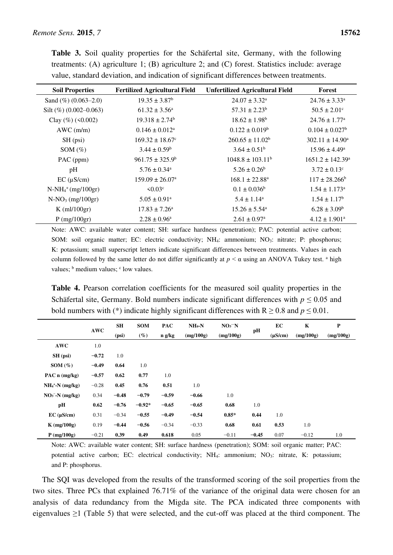| <b>Soil Properties</b>           | <b>Fertilized Agricultural Field</b> | <b>Unfertilized Agricultural Field</b> | Forest                         |
|----------------------------------|--------------------------------------|----------------------------------------|--------------------------------|
| Sand $(\%)(0.063-2.0)$           | $19.35 \pm 3.87^{\rm b}$             | $24.07 \pm 3.32^{\circ}$               | $24.76 \pm 3.33^{\circ}$       |
| Silt $(\%)(0.002-0.063)$         | $61.32 \pm 3.56^{\circ}$             | $57.31 \pm 2.23^b$                     | $50.5 \pm 2.01$ °              |
| Clay $(\%)(\leq 0.002)$          | $19.318 \pm 2.74$ <sup>b</sup>       | $18.62 \pm 1.98$ <sup>b</sup>          | $24.76 \pm 1.77^{\circ}$       |
| AWC(m/m)                         | $0.146 \pm 0.012^a$                  | $0.122 \pm 0.019^b$                    | $0.104 \pm 0.027^b$            |
| SH (psi)                         | $169.32 \pm 18.67$ °                 | $260.65 \pm 11.02^b$                   | $302.11 \pm 14.90^a$           |
| SOM $(\%)$                       | $3.44 \pm 0.59^b$                    | $3.64 \pm 0.51^b$                      | $15.96 \pm 4.49^{\circ}$       |
| PAC (ppm)                        | $961.75 \pm 325.9^{\circ}$           | $1048.8 \pm 103.11^{\circ}$            | $1651.2 \pm 142.39^{\text{a}}$ |
| pH                               | $5.76 \pm 0.34$ <sup>a</sup>         | $5.26 \pm 0.26^b$                      | $3.72 \pm 0.13^{\circ}$        |
| $EC (\mu S/cm)$                  | $159.09 \pm 26.07^{\circ}$           | $168.1 \pm 22.88^{\text{a}}$           | $117 \pm 28.266^b$             |
| $N-NH_4$ <sup>+</sup> (mg/100gr) | $\leq 0.03$ <sup>c</sup>             | $0.1 \pm 0.036^b$                      | $1.54 \pm 1.173$ <sup>a</sup>  |
| $N-NO_3$ (mg/100gr)              | $5.05 \pm 0.91$ <sup>a</sup>         | $5.4 \pm 1.14^a$                       | $1.54 \pm 1.17^b$              |
| $K$ (ml/100gr)                   | $17.83 \pm 7.26^{\circ}$             | $15.26 \pm 5.54^{\circ}$               | $6.28 \pm 3.09^b$              |
| $P$ (mg/100gr)                   | $2.28 \pm 0.96^{\circ}$              | $2.61 \pm 0.97^{\rm a}$                | $4.12 \pm 1.901^a$             |

**Table 3.** Soil quality properties for the Schäfertal site, Germany, with the following treatments: (A) agriculture 1; (B) agriculture 2; and (C) forest. Statistics include: average value, standard deviation, and indication of significant differences between treatments.

Note: AWC: available water content; SH: surface hardness (penetration); PAC: potential active carbon; SOM: soil organic matter; EC: electric conductivity; NH<sub>4</sub>: ammonium; NO<sub>3</sub>: nitrate; P: phosphorus; K: potassium; small superscript letters indicate significant differences between treatments. Values in each column followed by the same letter do not differ significantly at  $p < \alpha$  using an ANOVA Tukey test. <sup>a</sup> high values; <sup>b</sup> medium values; <sup>c</sup> low values.

**Table 4.** Pearson correlation coefficients for the measured soil quality properties in the Schäfertal site, Germany. Bold numbers indicate significant differences with  $p \leq 0.05$  and bold numbers with (\*) indicate highly significant differences with  $R \ge 0.8$  and  $p \le 0.01$ .

|                                |         | SH      | <b>SOM</b> | <b>PAC</b> | $NH_4-N$  | $NO3-N$   |         | EC           | $\mathbf K$ | P         |
|--------------------------------|---------|---------|------------|------------|-----------|-----------|---------|--------------|-------------|-----------|
|                                | AWC     | (psi)   | $(\%)$     | n g/kg     | (mg/100g) | (mg/100g) | pН      | $(\mu S/cm)$ | (mg/100g)   | (mg/100g) |
| <b>AWC</b>                     | 1.0     |         |            |            |           |           |         |              |             |           |
| $SH$ (psi)                     | $-0.72$ | 1.0     |            |            |           |           |         |              |             |           |
| $SOM(\%)$                      | $-0.49$ | 0.64    | 1.0        |            |           |           |         |              |             |           |
| PAC $n$ (mg/kg)                | $-0.57$ | 0.62    | 0.77       | 1.0        |           |           |         |              |             |           |
| $NH_4$ <sup>+</sup> -N (mg/kg) | $-0.28$ | 0.45    | 0.76       | 0.51       | 1.0       |           |         |              |             |           |
| $NO3 - N (mg/kg)$              | 0.34    | $-0.48$ | $-0.79$    | $-0.59$    | $-0.66$   | 1.0       |         |              |             |           |
| pН                             | 0.62    | $-0.76$ | $-0.92*$   | $-0.65$    | $-0.65$   | 0.68      | 1.0     |              |             |           |
| $EC$ ( $\mu$ S/cm)             | 0.31    | $-0.34$ | $-0.55$    | $-0.49$    | $-0.54$   | $0.85*$   | 0.44    | 1.0          |             |           |
| $K$ (mg/100g)                  | 0.19    | $-0.44$ | $-0.56$    | $-0.34$    | $-0.33$   | 0.68      | 0.61    | 0.53         | 1.0         |           |
| $P$ (mg/100g)                  | $-0.21$ | 0.39    | 0.49       | 0.618      | 0.05      | $-0.11$   | $-0.45$ | 0.07         | $-0.12$     | 1.0       |

Note: AWC: available water content; SH: surface hardness (penetration); SOM: soil organic matter; PAC: potential active carbon; EC: electrical conductivity; NH<sub>4</sub>: ammonium; NO<sub>3</sub>: nitrate, K: potassium; and P: phosphorus.

The SQI was developed from the results of the transformed scoring of the soil properties from the two sites. Three PCs that explained 76.71% of the variance of the original data were chosen for an analysis of data redundancy from the Migda site. The PCA indicated three components with eigenvalues  $\geq 1$  (Table 5) that were selected, and the cut-off was placed at the third component. The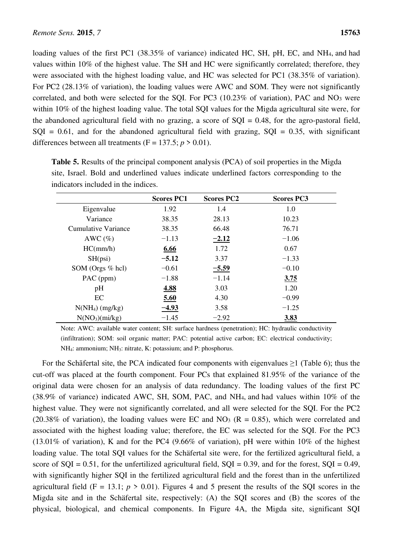loading values of the first PC1 (38.35% of variance) indicated HC, SH, pH, EC, and NH<sub>4</sub>, and had values within 10% of the highest value. The SH and HC were significantly correlated; therefore, they were associated with the highest loading value, and HC was selected for PC1 (38.35% of variation). For PC2 (28.13% of variation), the loading values were AWC and SOM. They were not significantly correlated, and both were selected for the SOI. For PC3  $(10.23\%$  of variation), PAC and NO<sub>3</sub> were within 10% of the highest loading value. The total SQI values for the Migda agricultural site were, for the abandoned agricultural field with no grazing, a score of  $SQL = 0.48$ , for the agro-pastoral field,  $SQI = 0.61$ , and for the abandoned agricultural field with grazing,  $SQI = 0.35$ , with significant differences between all treatments  $(F = 137.5; p > 0.01)$ .

|                            | <b>Scores PC1</b> | <b>Scores PC2</b> | <b>Scores PC3</b> |  |
|----------------------------|-------------------|-------------------|-------------------|--|
| Eigenvalue                 | 1.92              | 1.4               | 1.0               |  |
| Variance                   | 38.35             | 28.13             | 10.23             |  |
| Cumulative Variance        | 38.35             | 66.48             | 76.71             |  |
| $\text{AWC}(\%)$           | $-1.13$           | $-2.12$           | $-1.06$           |  |
| HC(mm/h)                   | 6.66              | 1.72              | 0.67              |  |
| SH(psi)                    | $-5.12$           | 3.37              | $-1.33$           |  |
| SOM (Orgs % hcl)           | $-0.61$           | $-5.59$           | $-0.10$           |  |
| PAC (ppm)                  | $-1.88$           | $-1.14$           | 3.75              |  |
| pH                         | 4.88              | 3.03              | 1.20              |  |
| EC                         | 5.60              | 4.30              | $-0.99$           |  |
| $N(NH_4)$ (mg/kg)          | $-4.93$           | 3.58              | $-1.25$           |  |
| N(NO <sub>3</sub> )(mi/kg) | $-1.45$           | $-2.92$           | 3.83              |  |

**Table 5.** Results of the principal component analysis (PCA) of soil properties in the Migda site, Israel. Bold and underlined values indicate underlined factors corresponding to the indicators included in the indices.

Note: AWC: available water content; SH: surface hardness (penetration); HC: hydraulic conductivity (infiltration); SOM: soil organic matter; PAC: potential active carbon; EC: electrical conductivity; NH4: ammonium; NH3: nitrate, K: potassium; and P: phosphorus.

For the Schäfertal site, the PCA indicated four components with eigenvalues  $\geq 1$  (Table 6); thus the cut-off was placed at the fourth component. Four PCs that explained 81.95% of the variance of the original data were chosen for an analysis of data redundancy. The loading values of the first PC (38.9% of variance) indicated AWC, SH, SOM, PAC, and NH4, and had values within 10% of the highest value. They were not significantly correlated, and all were selected for the SQI. For the PC2 (20.38% of variation), the loading values were EC and NO<sub>3</sub> ( $R = 0.85$ ), which were correlated and associated with the highest loading value; therefore, the EC was selected for the SQI. For the PC3 (13.01% of variation), K and for the PC4 (9.66% of variation), pH were within 10% of the highest loading value. The total SQI values for the Schäfertal site were, for the fertilized agricultural field, a score of  $SQL = 0.51$ , for the unfertilized agricultural field,  $SQL = 0.39$ , and for the forest,  $SQL = 0.49$ , with significantly higher SQI in the fertilized agricultural field and the forest than in the unfertilized agricultural field  $(F = 13.1; p > 0.01)$ . Figures 4 and 5 present the results of the SQI scores in the Migda site and in the Schäfertal site, respectively: (A) the SQI scores and (B) the scores of the physical, biological, and chemical components. In Figure 4A, the Migda site, significant SQI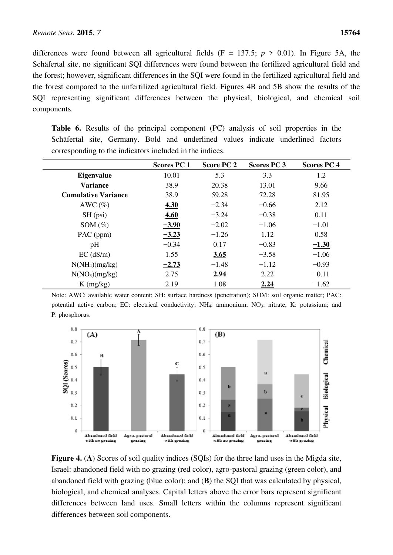differences were found between all agricultural fields ( $F = 137.5$ ;  $p > 0.01$ ). In Figure 5A, the Schäfertal site, no significant SQI differences were found between the fertilized agricultural field and the forest; however, significant differences in the SQI were found in the fertilized agricultural field and the forest compared to the unfertilized agricultural field. Figures 4B and 5B show the results of the SQI representing significant differences between the physical, biological, and chemical soil components.

**Table 6.** Results of the principal component (PC) analysis of soil properties in the Schäfertal site, Germany. Bold and underlined values indicate underlined factors corresponding to the indicators included in the indices.

|                            | <b>Scores PC 1</b> | Score PC <sub>2</sub> | <b>Scores PC 3</b> | Scores PC 4 |
|----------------------------|--------------------|-----------------------|--------------------|-------------|
| <b>Eigenvalue</b>          | 10.01              | 5.3                   | 3.3                | 1.2         |
| <b>Variance</b>            | 38.9               | 20.38                 | 13.01              | 9.66        |
| <b>Cumulative Variance</b> | 38.9               | 59.28                 | 72.28              | 81.95       |
| AWC $(\% )$                | 4.30               | $-2.34$               | $-0.66$            | 2.12        |
| $SH$ (psi)                 | 4.60               | $-3.24$               | $-0.38$            | 0.11        |
| SOM $(\%)$                 | $-3.90$            | $-2.02$               | $-1.06$            | $-1.01$     |
| PAC (ppm)                  | $-3.23$            | $-1.26$               | 1.12               | 0.58        |
| pH                         | $-0.34$            | 0.17                  | $-0.83$            | $-1.30$     |
| $EC$ ( $dS/m$ )            | 1.55               | 3.65                  | $-3.58$            | $-1.06$     |
| $N(NH_4)(mg/kg)$           | $-2.73$            | $-1.48$               | $-1.12$            | $-0.93$     |
| N(NO <sub>3</sub> )(mg/kg) | 2.75               | 2.94                  | 2.22               | $-0.11$     |
| $K$ (mg/kg)                | 2.19               | 1.08                  | 2.24               | $-1.62$     |

Note: AWC: available water content; SH: surface hardness (penetration); SOM: soil organic matter; PAC: potential active carbon; EC: electrical conductivity; NH4: ammonium; NO3: nitrate, K: potassium; and P: phosphorus.



**Figure 4.** (**A**) Scores of soil quality indices (SQIs) for the three land uses in the Migda site, Israel: abandoned field with no grazing (red color), agro-pastoral grazing (green color), and abandoned field with grazing (blue color); and (**B**) the SQI that was calculated by physical, biological, and chemical analyses. Capital letters above the error bars represent significant differences between land uses. Small letters within the columns represent significant differences between soil components.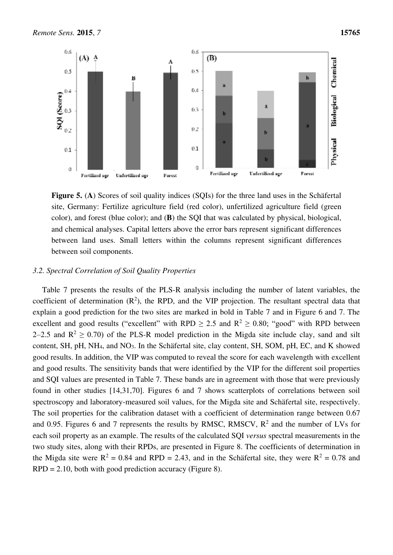0.6

 $0.5$ 

 $0.4$ 

SQI (Score)<br>့

 $0.2$ 

 $0.1$ 

đ

Fertilized age

 $(A)$   $\triangleq$ 



b

**Unfertilized age** 

**Figure 5.** (A) Scores of soil quality indices (SQIs) for the three land uses in the Schäfertal site, Germany: Fertilize agriculture field (red color), unfertilized agriculture field (green color), and forest (blue color); and (**B**) the SQI that was calculated by physical, biological, and chemical analyses. Capital letters above the error bars represent significant differences between land uses. Small letters within the columns represent significant differences between soil components.

0.2

 $0.1$ 

 $\sigma$ 

Forest

 $\mathbf{a}$ 

Fertilized age

# *3.2. Spectral Correlation of Soil Quality Properties*

Unfertilized age

Table 7 presents the results of the PLS-R analysis including the number of latent variables, the coefficient of determination  $(R^2)$ , the RPD, and the VIP projection. The resultant spectral data that explain a good prediction for the two sites are marked in bold in Table 7 and in Figure 6 and 7. The excellent and good results ("excellent" with RPD  $\geq$  2.5 and R<sup>2</sup>  $\geq$  0.80; "good" with RPD between 2–2.5 and  $R^2 \ge 0.70$ ) of the PLS-R model prediction in the Migda site include clay, sand and silt content, SH, pH, NH4, and NO3. In the Schäfertal site, clay content, SH, SOM, pH, EC, and K showed good results. In addition, the VIP was computed to reveal the score for each wavelength with excellent and good results. The sensitivity bands that were identified by the VIP for the different soil properties and SQI values are presented in Table 7. These bands are in agreement with those that were previously found in other studies [14,31,70]. Figures 6 and 7 shows scatterplots of correlations between soil spectroscopy and laboratory-measured soil values, for the Migda site and Schäfertal site, respectively. The soil properties for the calibration dataset with a coefficient of determination range between 0.67 and 0.95. Figures 6 and 7 represents the results by RMSC, RMSCV,  $R^2$  and the number of LVs for each soil property as an example. The results of the calculated SQI *versus* spectral measurements in the two study sites, along with their RPDs, are presented in Figure 8. The coefficients of determination in the Migda site were  $R^2 = 0.84$  and RPD = 2.43, and in the Schäfertal site, they were  $R^2 = 0.78$  and  $RPD = 2.10$ , both with good prediction accuracy (Figure 8).

ä

Forest

Physical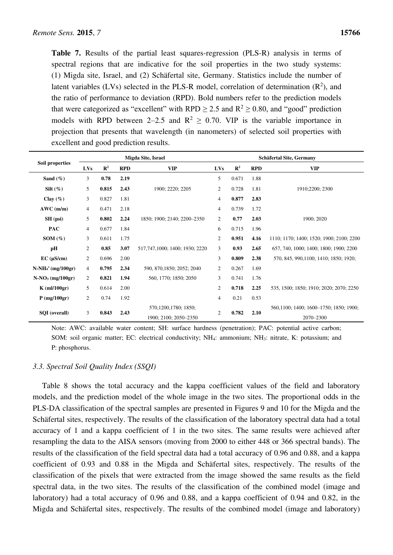**Table 7.** Results of the partial least squares-regression (PLS-R) analysis in terms of spectral regions that are indicative for the soil properties in the two study systems: (1) Migda site, Israel, and (2) Schäfertal site, Germany. Statistics include the number of latent variables (LVs) selected in the PLS-R model, correlation of determination  $(R^2)$ , and the ratio of performance to deviation (RPD). Bold numbers refer to the prediction models that were categorized as "excellent" with RPD  $\geq$  2.5 and R<sup>2</sup>  $\geq$  0.80, and "good" prediction models with RPD between 2–2.5 and  $R^2 \ge 0.70$ . VIP is the variable importance in projection that presents that wavelength (in nanometers) of selected soil properties with excellent and good prediction results.

| Migda Site, Israel               |                                                          |       |      |                                |                | <b>Schäfertal Site, Germany</b> |      |                                          |  |  |
|----------------------------------|----------------------------------------------------------|-------|------|--------------------------------|----------------|---------------------------------|------|------------------------------------------|--|--|
| Soil properties                  | $\mathbb{R}^2$<br><b>LVs</b><br><b>RPD</b><br><b>VIP</b> |       | LVs  | $\mathbb{R}^2$                 | <b>RPD</b>     | <b>VIP</b>                      |      |                                          |  |  |
| Sand $(\%)$                      | 3                                                        | 0.78  | 2.19 |                                | 5              | 0.671                           | 1.88 |                                          |  |  |
| Silt $(\% )$                     | 5                                                        | 0.815 | 2.43 | 1900; 2220; 2205               | 2              | 0.728                           | 1.81 | 1910;2200; 2300                          |  |  |
| Clay $(\% )$                     | 3                                                        | 0.827 | 1.81 |                                | $\overline{4}$ | 0.877                           | 2.83 |                                          |  |  |
| AWC(m/m)                         | 4                                                        | 0.471 | 2.18 |                                | $\overline{4}$ | 0.739                           | 1.72 |                                          |  |  |
| $SH$ (psi)                       | 5                                                        | 0.802 | 2.24 | 1850; 1900; 2140; 2200-2350    | $\overline{c}$ | 0.77                            | 2.03 | 1900; 2020                               |  |  |
| <b>PAC</b>                       | $\overline{4}$                                           | 0.677 | 1.84 |                                | 6              | 0.715                           | 1.96 |                                          |  |  |
| SOM $(\%)$                       | 3                                                        | 0.611 | 1.75 |                                | 2              | 0.951                           | 4.16 | 1110; 1170; 1400; 1520; 1900; 2100; 2200 |  |  |
| pН                               | $\overline{2}$                                           | 0.85  | 3.07 | 517,747,1000; 1400; 1930; 2220 | 3              | 0.93                            | 2.65 | 657, 740, 1000; 1400; 1800; 1900; 2200   |  |  |
| $EC$ ( $\mu$ S/cm)               | 2                                                        | 0.696 | 2.00 |                                | 3              | 0.809                           | 2.38 | 570, 845, 990, 1100; 1410; 1850; 1920;   |  |  |
| $N-NH_4$ <sup>+</sup> (mg/100gr) | 4                                                        | 0.795 | 2.34 | 590, 870, 1850; 2052; 2040     | $\overline{c}$ | 0.267                           | 1.69 |                                          |  |  |
| $N-NO3$ (mg/100gr)               | 2                                                        | 0.821 | 1.94 | 560, 1770; 1850; 2050          | 3              | 0.741                           | 1.76 |                                          |  |  |
| $K$ (ml/100gr)                   | 5                                                        | 0.614 | 2.00 |                                | 2              | 0.718                           | 2.25 | 535, 1500; 1850; 1910; 2020; 2070; 2250  |  |  |
| $P$ (mg/100gr)                   | 2                                                        | 0.74  | 1.92 |                                | 4              | 0.21                            | 0.53 |                                          |  |  |
|                                  |                                                          | 0.843 | 2.43 | 570,1200,1780; 1850;           |                |                                 |      | 560,1100; 1400; 1600-1750; 1850; 1900;   |  |  |
| <b>SQI</b> (overall)             | 3                                                        |       |      | 1900; 2100; 2050-2350          |                | $\overline{2}$<br>0.782         | 2.10 | 2070-2300                                |  |  |

Note: AWC: available water content; SH: surface hardness (penetration); PAC: potential active carbon; SOM: soil organic matter; EC: electrical conductivity; NH<sub>4</sub>: ammonium; NH<sub>3</sub>: nitrate, K: potassium; and P: phosphorus.

## *3.3. Spectral Soil Quality Index (SSQI)*

Table 8 shows the total accuracy and the kappa coefficient values of the field and laboratory models, and the prediction model of the whole image in the two sites. The proportional odds in the PLS-DA classification of the spectral samples are presented in Figures 9 and 10 for the Migda and the Schäfertal sites, respectively. The results of the classification of the laboratory spectral data had a total accuracy of 1 and a kappa coefficient of 1 in the two sites. The same results were achieved after resampling the data to the AISA sensors (moving from 2000 to either 448 or 366 spectral bands). The results of the classification of the field spectral data had a total accuracy of 0.96 and 0.88, and a kappa coefficient of 0.93 and 0.88 in the Migda and Schäfertal sites, respectively. The results of the classification of the pixels that were extracted from the image showed the same results as the field spectral data, in the two sites. The results of the classification of the combined model (image and laboratory) had a total accuracy of 0.96 and 0.88, and a kappa coefficient of 0.94 and 0.82, in the Migda and Schäfertal sites, respectively. The results of the combined model (image and laboratory)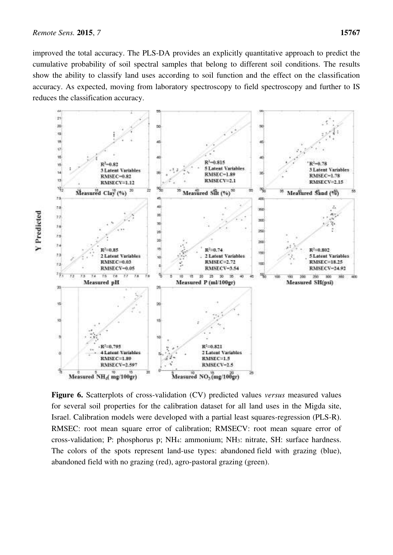improved the total accuracy. The PLS-DA provides an explicitly quantitative approach to predict the cumulative probability of soil spectral samples that belong to different soil conditions. The results show the ability to classify land uses according to soil function and the effect on the classification accuracy. As expected, moving from laboratory spectroscopy to field spectroscopy and further to IS reduces the classification accuracy.



**Figure 6.** Scatterplots of cross-validation (CV) predicted values *versus* measured values for several soil properties for the calibration dataset for all land uses in the Migda site, Israel. Calibration models were developed with a partial least squares-regression (PLS-R). RMSEC: root mean square error of calibration; RMSECV: root mean square error of cross-validation; P: phosphorus p; NH4: ammonium; NH3: nitrate, SH: surface hardness. The colors of the spots represent land-use types: abandoned field with grazing (blue), abandoned field with no grazing (red), agro-pastoral grazing (green).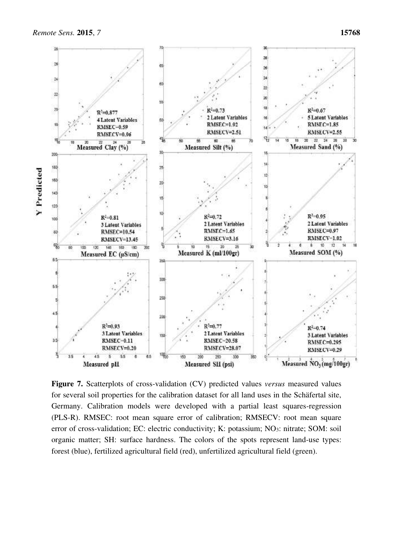



**Figure 7.** Scatterplots of cross-validation (CV) predicted values *versus* measured values for several soil properties for the calibration dataset for all land uses in the Schäfertal site, Germany. Calibration models were developed with a partial least squares-regression (PLS-R). RMSEC: root mean square error of calibration; RMSECV: root mean square error of cross-validation; EC: electric conductivity; K: potassium; NO3: nitrate; SOM: soil organic matter; SH: surface hardness. The colors of the spots represent land-use types: forest (blue), fertilized agricultural field (red), unfertilized agricultural field (green).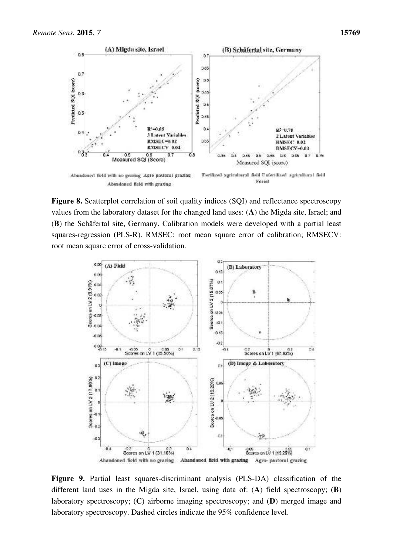

**Figure 8.** Scatterplot correlation of soil quality indices (SQI) and reflectance spectroscopy values from the laboratory dataset for the changed land uses: (**A**) the Migda site, Israel; and (**B**) the Schäfertal site, Germany. Calibration models were developed with a partial least squares-regression (PLS-R). RMSEC: root mean square error of calibration; RMSECV: root mean square error of cross-validation.



**Figure 9.** Partial least squares-discriminant analysis (PLS-DA) classification of the different land uses in the Migda site, Israel, using data of: (**A**) field spectroscopy; (**B**) laboratory spectroscopy; (**C**) airborne imaging spectroscopy; and (**D**) merged image and laboratory spectroscopy. Dashed circles indicate the 95% confidence level.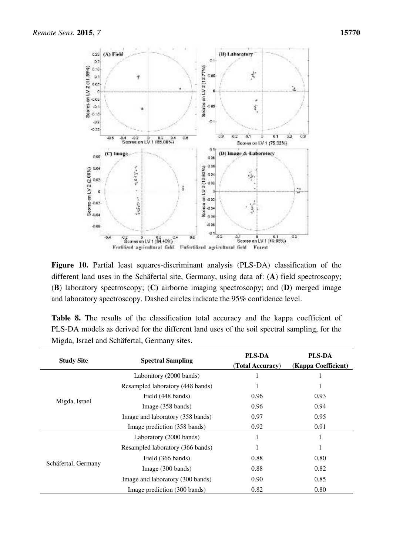

Figure 10. Partial least squares-discriminant analysis (PLS-DA) classification of the different land uses in the Schäfertal site, Germany, using data of: (**A**) field spectroscopy; (**B**) laboratory spectroscopy; (**C**) airborne imaging spectroscopy; and (**D**) merged image and laboratory spectroscopy. Dashed circles indicate the 95% confidence level.

|  |  |  | <b>Table 8.</b> The results of the classification total accuracy and the kappa coefficient of |  |  |  |  |  |
|--|--|--|-----------------------------------------------------------------------------------------------|--|--|--|--|--|
|  |  |  | PLS-DA models as derived for the different land uses of the soil spectral sampling, for the   |  |  |  |  |  |
|  |  |  | Migda, Israel and Schäfertal, Germany sites.                                                  |  |  |  |  |  |

|                     |                                  | <b>PLS-DA</b>    | <b>PLS-DA</b>       |
|---------------------|----------------------------------|------------------|---------------------|
| <b>Study Site</b>   | <b>Spectral Sampling</b>         | (Total Accuracy) | (Kappa Coefficient) |
|                     | Laboratory (2000 bands)          | ı                |                     |
|                     | Resampled laboratory (448 bands) |                  |                     |
|                     | Field (448 bands)                | 0.96             | 0.93                |
| Migda, Israel       | Image (358 bands)                | 0.96             | 0.94                |
|                     | Image and laboratory (358 bands) | 0.97             | 0.95                |
|                     | Image prediction (358 bands)     | 0.92             | 0.91                |
|                     | Laboratory (2000 bands)          |                  |                     |
|                     | Resampled laboratory (366 bands) |                  | 1                   |
|                     | Field (366 bands)                | 0.88             | 0.80                |
| Schäfertal, Germany | Image (300 bands)                | 0.88             | 0.82                |
|                     | Image and laboratory (300 bands) | 0.90             | 0.85                |
|                     | Image prediction (300 bands)     | 0.82             | 0.80                |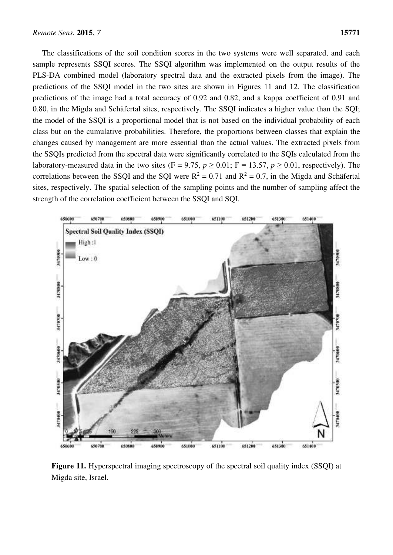The classifications of the soil condition scores in the two systems were well separated, and each sample represents SSQI scores. The SSQI algorithm was implemented on the output results of the PLS-DA combined model (laboratory spectral data and the extracted pixels from the image). The predictions of the SSQI model in the two sites are shown in Figures 11 and 12. The classification predictions of the image had a total accuracy of 0.92 and 0.82, and a kappa coefficient of 0.91 and 0.80, in the Migda and Schäfertal sites, respectively. The SSQI indicates a higher value than the SQI; the model of the SSQI is a proportional model that is not based on the individual probability of each class but on the cumulative probabilities. Therefore, the proportions between classes that explain the changes caused by management are more essential than the actual values. The extracted pixels from the SSQIs predicted from the spectral data were significantly correlated to the SQIs calculated from the laboratory-measured data in the two sites (F = 9.75,  $p \ge 0.01$ ; F = 13.57,  $p \ge 0.01$ , respectively). The correlations between the SSQI and the SQI were  $R^2 = 0.71$  and  $R^2 = 0.7$ , in the Migda and Schäfertal sites, respectively. The spatial selection of the sampling points and the number of sampling affect the strength of the correlation coefficient between the SSQI and SQI.



**Figure 11.** Hyperspectral imaging spectroscopy of the spectral soil quality index (SSQI) at Migda site, Israel.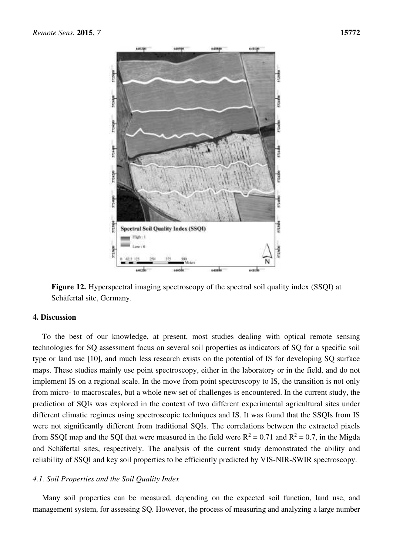

**Figure 12.** Hyperspectral imaging spectroscopy of the spectral soil quality index (SSQI) at Schäfertal site, Germany.

#### **4. Discussion**

To the best of our knowledge, at present, most studies dealing with optical remote sensing technologies for SQ assessment focus on several soil properties as indicators of SQ for a specific soil type or land use [10], and much less research exists on the potential of IS for developing SQ surface maps. These studies mainly use point spectroscopy, either in the laboratory or in the field, and do not implement IS on a regional scale. In the move from point spectroscopy to IS, the transition is not only from micro- to macroscales, but a whole new set of challenges is encountered. In the current study, the prediction of SQIs was explored in the context of two different experimental agricultural sites under different climatic regimes using spectroscopic techniques and IS. It was found that the SSQIs from IS were not significantly different from traditional SQIs. The correlations between the extracted pixels from SSQI map and the SQI that were measured in the field were  $R^2 = 0.71$  and  $R^2 = 0.7$ , in the Migda and Schäfertal sites, respectively. The analysis of the current study demonstrated the ability and reliability of SSQI and key soil properties to be efficiently predicted by VIS-NIR-SWIR spectroscopy.

#### *4.1. Soil Properties and the Soil Quality Index*

Many soil properties can be measured, depending on the expected soil function, land use, and management system, for assessing SQ. However, the process of measuring and analyzing a large number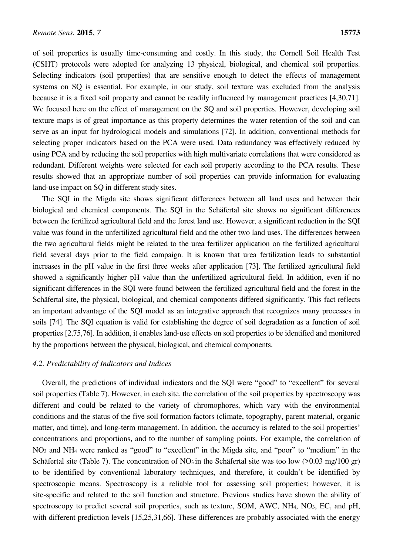of soil properties is usually time-consuming and costly. In this study, the Cornell Soil Health Test (CSHT) protocols were adopted for analyzing 13 physical, biological, and chemical soil properties. Selecting indicators (soil properties) that are sensitive enough to detect the effects of management systems on SQ is essential. For example, in our study, soil texture was excluded from the analysis because it is a fixed soil property and cannot be readily influenced by management practices [4,30,71]. We focused here on the effect of management on the SQ and soil properties. However, developing soil texture maps is of great importance as this property determines the water retention of the soil and can serve as an input for hydrological models and simulations [72]. In addition, conventional methods for selecting proper indicators based on the PCA were used. Data redundancy was effectively reduced by using PCA and by reducing the soil properties with high multivariate correlations that were considered as redundant. Different weights were selected for each soil property according to the PCA results. These results showed that an appropriate number of soil properties can provide information for evaluating land-use impact on SQ in different study sites.

The SQI in the Migda site shows significant differences between all land uses and between their biological and chemical components. The SQI in the Schäfertal site shows no significant differences between the fertilized agricultural field and the forest land use. However, a significant reduction in the SQI value was found in the unfertilized agricultural field and the other two land uses. The differences between the two agricultural fields might be related to the urea fertilizer application on the fertilized agricultural field several days prior to the field campaign. It is known that urea fertilization leads to substantial increases in the pH value in the first three weeks after application [73]. The fertilized agricultural field showed a significantly higher pH value than the unfertilized agricultural field. In addition, even if no significant differences in the SQI were found between the fertilized agricultural field and the forest in the Schäfertal site, the physical, biological, and chemical components differed significantly. This fact reflects an important advantage of the SQI model as an integrative approach that recognizes many processes in soils [74]. The SQI equation is valid for establishing the degree of soil degradation as a function of soil properties [2,75,76]. In addition, it enables land-use effects on soil properties to be identified and monitored by the proportions between the physical, biological, and chemical components.

#### *4.2. Predictability of Indicators and Indices*

Overall, the predictions of individual indicators and the SQI were "good" to "excellent" for several soil properties (Table 7). However, in each site, the correlation of the soil properties by spectroscopy was different and could be related to the variety of chromophores, which vary with the environmental conditions and the status of the five soil formation factors (climate, topography, parent material, organic matter, and time), and long-term management. In addition, the accuracy is related to the soil properties' concentrations and proportions, and to the number of sampling points. For example, the correlation of NO3 and NH<sup>4</sup> were ranked as "good" to "excellent" in the Migda site, and "poor" to "medium" in the Schäfertal site (Table 7). The concentration of  $NO<sub>3</sub>$  in the Schäfertal site was too low (>0.03 mg/100 gr) to be identified by conventional laboratory techniques, and therefore, it couldn't be identified by spectroscopic means. Spectroscopy is a reliable tool for assessing soil properties; however, it is site-specific and related to the soil function and structure. Previous studies have shown the ability of spectroscopy to predict several soil properties, such as texture, SOM, AWC, NH<sub>4</sub>, NO<sub>3</sub>, EC, and pH, with different prediction levels [15,25,31,66]. These differences are probably associated with the energy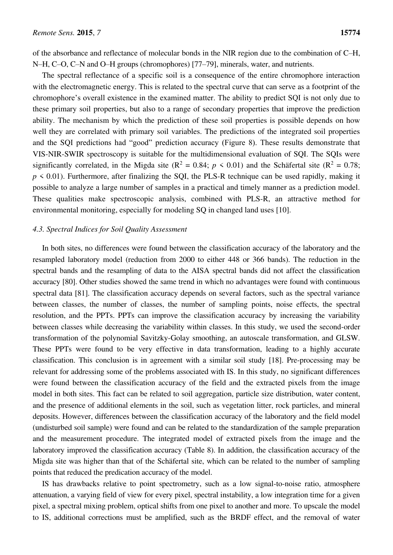of the absorbance and reflectance of molecular bonds in the NIR region due to the combination of C–H, N–H, C–O, C–N and O–H groups (chromophores) [77–79], minerals, water, and nutrients.

The spectral reflectance of a specific soil is a consequence of the entire chromophore interaction with the electromagnetic energy. This is related to the spectral curve that can serve as a footprint of the chromophore's overall existence in the examined matter. The ability to predict SQI is not only due to these primary soil properties, but also to a range of secondary properties that improve the prediction ability. The mechanism by which the prediction of these soil properties is possible depends on how well they are correlated with primary soil variables. The predictions of the integrated soil properties and the SQI predictions had "good" prediction accuracy (Figure 8). These results demonstrate that VIS-NIR-SWIR spectroscopy is suitable for the multidimensional evaluation of SQI. The SQIs were significantly correlated, in the Migda site ( $\mathbb{R}^2 = 0.84$ ;  $p \le 0.01$ ) and the Schäfertal site ( $\mathbb{R}^2 = 0.78$ ;  $p \le 0.01$ ). Furthermore, after finalizing the SQI, the PLS-R technique can be used rapidly, making it possible to analyze a large number of samples in a practical and timely manner as a prediction model. These qualities make spectroscopic analysis, combined with PLS-R, an attractive method for environmental monitoring, especially for modeling SQ in changed land uses [10].

## *4.3. Spectral Indices for Soil Quality Assessment*

In both sites, no differences were found between the classification accuracy of the laboratory and the resampled laboratory model (reduction from 2000 to either 448 or 366 bands). The reduction in the spectral bands and the resampling of data to the AISA spectral bands did not affect the classification accuracy [80]. Other studies showed the same trend in which no advantages were found with continuous spectral data [81]. The classification accuracy depends on several factors, such as the spectral variance between classes, the number of classes, the number of sampling points, noise effects, the spectral resolution, and the PPTs. PPTs can improve the classification accuracy by increasing the variability between classes while decreasing the variability within classes. In this study, we used the second-order transformation of the polynomial Savitzky-Golay smoothing, an autoscale transformation, and GLSW. These PPTs were found to be very effective in data transformation, leading to a highly accurate classification. This conclusion is in agreement with a similar soil study [18]. Pre-processing may be relevant for addressing some of the problems associated with IS. In this study, no significant differences were found between the classification accuracy of the field and the extracted pixels from the image model in both sites. This fact can be related to soil aggregation, particle size distribution, water content, and the presence of additional elements in the soil, such as vegetation litter, rock particles, and mineral deposits. However, differences between the classification accuracy of the laboratory and the field model (undisturbed soil sample) were found and can be related to the standardization of the sample preparation and the measurement procedure. The integrated model of extracted pixels from the image and the laboratory improved the classification accuracy (Table 8). In addition, the classification accuracy of the Migda site was higher than that of the Schäfertal site, which can be related to the number of sampling points that reduced the predication accuracy of the model.

IS has drawbacks relative to point spectrometry, such as a low signal-to-noise ratio, atmosphere attenuation, a varying field of view for every pixel, spectral instability, a low integration time for a given pixel, a spectral mixing problem, optical shifts from one pixel to another and more. To upscale the model to IS, additional corrections must be amplified, such as the BRDF effect, and the removal of water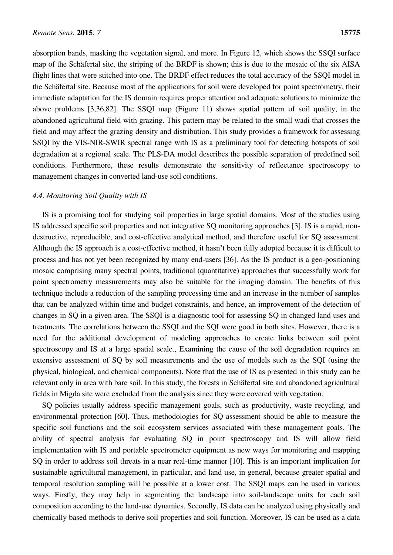absorption bands, masking the vegetation signal, and more. In Figure 12, which shows the SSQI surface map of the Schäfertal site, the striping of the BRDF is shown; this is due to the mosaic of the six AISA flight lines that were stitched into one. The BRDF effect reduces the total accuracy of the SSQI model in the Schäfertal site. Because most of the applications for soil were developed for point spectrometry, their immediate adaptation for the IS domain requires proper attention and adequate solutions to minimize the above problems [3,36,82]. The SSQI map (Figure 11) shows spatial pattern of soil quality, in the abandoned agricultural field with grazing. This pattern may be related to the small wadi that crosses the field and may affect the grazing density and distribution. This study provides a framework for assessing SSQI by the VIS-NIR-SWIR spectral range with IS as a preliminary tool for detecting hotspots of soil degradation at a regional scale. The PLS-DA model describes the possible separation of predefined soil conditions. Furthermore, these results demonstrate the sensitivity of reflectance spectroscopy to management changes in converted land-use soil conditions.

### *4.4. Monitoring Soil Quality with IS*

IS is a promising tool for studying soil properties in large spatial domains. Most of the studies using IS addressed specific soil properties and not integrative SQ monitoring approaches [3]. IS is a rapid, nondestructive, reproducible, and cost-effective analytical method, and therefore useful for SQ assessment. Although the IS approach is a cost-effective method, it hasn't been fully adopted because it is difficult to process and has not yet been recognized by many end-users [36]. As the IS product is a geo-positioning mosaic comprising many spectral points, traditional (quantitative) approaches that successfully work for point spectrometry measurements may also be suitable for the imaging domain. The benefits of this technique include a reduction of the sampling processing time and an increase in the number of samples that can be analyzed within time and budget constraints, and hence, an improvement of the detection of changes in SQ in a given area. The SSQI is a diagnostic tool for assessing SQ in changed land uses and treatments. The correlations between the SSQI and the SQI were good in both sites. However, there is a need for the additional development of modeling approaches to create links between soil point spectroscopy and IS at a large spatial scale., Examining the cause of the soil degradation requires an extensive assessment of SQ by soil measurements and the use of models such as the SQI (using the physical, biological, and chemical components). Note that the use of IS as presented in this study can be relevant only in area with bare soil. In this study, the forests in Schäfertal site and abandoned agricultural fields in Migda site were excluded from the analysis since they were covered with vegetation.

SQ policies usually address specific management goals, such as productivity, waste recycling, and environmental protection [60]. Thus, methodologies for SQ assessment should be able to measure the specific soil functions and the soil ecosystem services associated with these management goals. The ability of spectral analysis for evaluating SQ in point spectroscopy and IS will allow field implementation with IS and portable spectrometer equipment as new ways for monitoring and mapping SQ in order to address soil threats in a near real-time manner [10]. This is an important implication for sustainable agricultural management, in particular, and land use, in general, because greater spatial and temporal resolution sampling will be possible at a lower cost. The SSQI maps can be used in various ways. Firstly, they may help in segmenting the landscape into soil-landscape units for each soil composition according to the land-use dynamics. Secondly, IS data can be analyzed using physically and chemically based methods to derive soil properties and soil function. Moreover, IS can be used as a data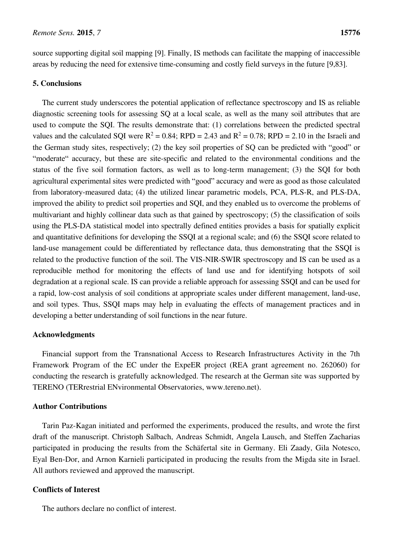source supporting digital soil mapping [9]. Finally, IS methods can facilitate the mapping of inaccessible areas by reducing the need for extensive time-consuming and costly field surveys in the future [9,83].

## **5. Conclusions**

The current study underscores the potential application of reflectance spectroscopy and IS as reliable diagnostic screening tools for assessing SQ at a local scale, as well as the many soil attributes that are used to compute the SQI. The results demonstrate that: (1) correlations between the predicted spectral values and the calculated SQI were  $R^2 = 0.84$ ; RPD = 2.43 and  $R^2 = 0.78$ ; RPD = 2.10 in the Israeli and the German study sites, respectively; (2) the key soil properties of SQ can be predicted with "good" or "moderate" accuracy, but these are site-specific and related to the environmental conditions and the status of the five soil formation factors, as well as to long-term management; (3) the SQI for both agricultural experimental sites were predicted with "good" accuracy and were as good as those calculated from laboratory-measured data; (4) the utilized linear parametric models, PCA, PLS-R, and PLS-DA, improved the ability to predict soil properties and SQI, and they enabled us to overcome the problems of multivariant and highly collinear data such as that gained by spectroscopy; (5) the classification of soils using the PLS-DA statistical model into spectrally defined entities provides a basis for spatially explicit and quantitative definitions for developing the SSQI at a regional scale; and (6) the SSQI score related to land-use management could be differentiated by reflectance data, thus demonstrating that the SSQI is related to the productive function of the soil. The VIS-NIR-SWIR spectroscopy and IS can be used as a reproducible method for monitoring the effects of land use and for identifying hotspots of soil degradation at a regional scale. IS can provide a reliable approach for assessing SSQI and can be used for a rapid, low-cost analysis of soil conditions at appropriate scales under different management, land-use, and soil types. Thus, SSQI maps may help in evaluating the effects of management practices and in developing a better understanding of soil functions in the near future.

### **Acknowledgments**

Financial support from the Transnational Access to Research Infrastructures Activity in the 7th Framework Program of the EC under the ExpeER project (REA grant agreement no. 262060) for conducting the research is gratefully acknowledged. The research at the German site was supported by TERENO (TERrestrial ENvironmental Observatories, www.tereno.net).

# **Author Contributions**

Tarin Paz-Kagan initiated and performed the experiments, produced the results, and wrote the first draft of the manuscript. Christoph Salbach, Andreas Schmidt, Angela Lausch, and Steffen Zacharias participated in producing the results from the Schäfertal site in Germany. Eli Zaady, Gila Notesco, Eyal Ben-Dor, and Arnon Karnieli participated in producing the results from the Migda site in Israel. All authors reviewed and approved the manuscript.

## **Conflicts of Interest**

The authors declare no conflict of interest.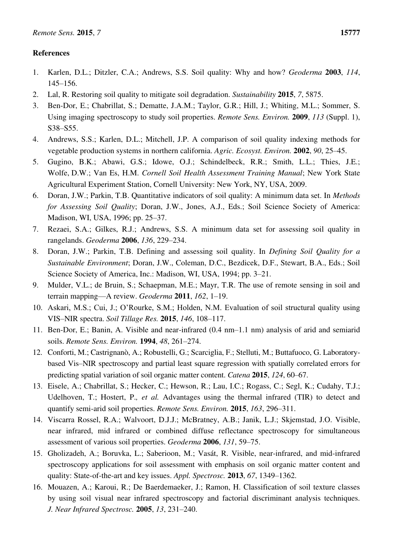# **References**

- 1. Karlen, D.L.; Ditzler, C.A.; Andrews, S.S. Soil quality: Why and how? *Geoderma* **2003**, *114*, 145–156.
- 2. Lal, R. Restoring soil quality to mitigate soil degradation. *Sustainability* **2015**, *7*, 5875.
- 3. Ben-Dor, E.; Chabrillat, S.; Dematte, J.A.M.; Taylor, G.R.; Hill, J.; Whiting, M.L.; Sommer, S. Using imaging spectroscopy to study soil properties. *Remote Sens. Environ.* **2009**, *113* (Suppl. 1), S38–S55.
- 4. Andrews, S.S.; Karlen, D.L.; Mitchell, J.P. A comparison of soil quality indexing methods for vegetable production systems in northern california. *Agric. Ecosyst. Environ.* **2002**, *90*, 25–45.
- 5. Gugino, B.K.; Abawi, G.S.; Idowe, O.J.; Schindelbeck, R.R.; Smith, L.L.; Thies, J.E.; Wolfe, D.W.; Van Es, H.M. *Cornell Soil Health Assessment Training Manual*; New York State Agricultural Experiment Station, Cornell University: New York, NY, USA, 2009.
- 6. Doran, J.W.; Parkin, T.B. Quantitative indicators of soil quality: A minimum data set. In *Methods for Assessing Soil Quality*; Doran, J.W., Jones, A.J., Eds.; Soil Science Society of America: Madison, WI, USA, 1996; pp. 25–37.
- 7. Rezaei, S.A.; Gilkes, R.J.; Andrews, S.S. A minimum data set for assessing soil quality in rangelands. *Geoderma* **2006**, *136*, 229–234.
- 8. Doran, J.W.; Parkin, T.B. Defining and assessing soil quality. In *Defining Soil Quality for a Sustainable Environment*; Doran, J.W., Coleman, D.C., Bezdicek, D.F., Stewart, B.A., Eds.; Soil Science Society of America, Inc.: Madison, WI, USA, 1994; pp. 3–21.
- 9. Mulder, V.L.; de Bruin, S.; Schaepman, M.E.; Mayr, T.R. The use of remote sensing in soil and terrain mapping—A review. *Geoderma* **2011**, *162*, 1–19.
- 10. Askari, M.S.; Cui, J.; O'Rourke, S.M.; Holden, N.M. Evaluation of soil structural quality using VIS–NIR spectra. *Soil Tillage Res.* **2015**, *146*, 108–117.
- 11. Ben-Dor, E.; Banin, A. Visible and near-infrared (0.4 nm–1.1 nm) analysis of arid and semiarid soils. *Remote Sens. Environ.* **1994**, *48*, 261–274.
- 12. Conforti, M.; Castrignanò, A.; Robustelli, G.; Scarciglia, F.; Stelluti, M.; Buttafuoco, G. Laboratorybased Vis–NIR spectroscopy and partial least square regression with spatially correlated errors for predicting spatial variation of soil organic matter content. *Catena* **2015**, *124*, 60–67.
- 13. Eisele, A.; Chabrillat, S.; Hecker, C.; Hewson, R.; Lau, I.C.; Rogass, C.; Segl, K.; Cudahy, T.J.; Udelhoven, T.; Hostert, P.*, et al.* Advantages using the thermal infrared (TIR) to detect and quantify semi-arid soil properties. *Remote Sens. Environ.* **2015**, *163*, 296–311.
- 14. Viscarra Rossel, R.A.; Walvoort, D.J.J.; McBratney, A.B.; Janik, L.J.; Skjemstad, J.O. Visible, near infrared, mid infrared or combined diffuse reflectance spectroscopy for simultaneous assessment of various soil properties. *Geoderma* **2006**, *131*, 59–75.
- 15. Gholizadeh, A.; Boruvka, L.; Saberioon, M.; Vasát, R. Visible, near-infrared, and mid-infrared spectroscopy applications for soil assessment with emphasis on soil organic matter content and quality: State-of-the-art and key issues. *Appl. Spectrosc.* **2013**, *67*, 1349–1362.
- 16. Mouazen, A.; Karoui, R.; De Baerdemaeker, J.; Ramon, H. Classification of soil texture classes by using soil visual near infrared spectroscopy and factorial discriminant analysis techniques. *J. Near Infrared Spectrosc.* **2005**, *13*, 231–240.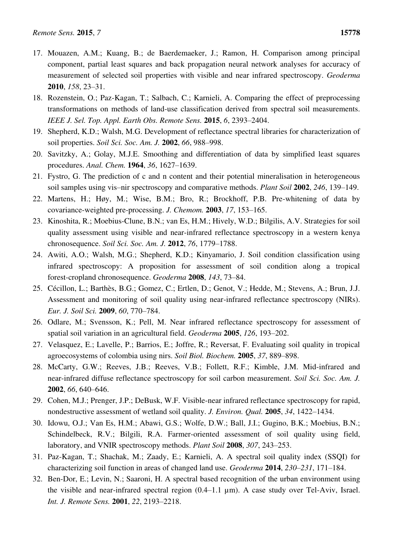- 17. Mouazen, A.M.; Kuang, B.; de Baerdemaeker, J.; Ramon, H. Comparison among principal component, partial least squares and back propagation neural network analyses for accuracy of measurement of selected soil properties with visible and near infrared spectroscopy. *Geoderma*  **2010**, *158*, 23–31.
- 18. Rozenstein, O.; Paz-Kagan, T.; Salbach, C.; Karnieli, A. Comparing the effect of preprocessing transformations on methods of land-use classification derived from spectral soil measurements. *IEEE J. Sel. Top. Appl. Earth Obs. Remote Sens.* **2015**, *6*, 2393–2404.
- 19. Shepherd, K.D.; Walsh, M.G. Development of reflectance spectral libraries for characterization of soil properties. *Soil Sci. Soc. Am. J.* **2002**, *66*, 988–998.
- 20. Savitzky, A.; Golay, M.J.E. Smoothing and differentiation of data by simplified least squares procedures. *Anal. Chem.* **1964**, *36*, 1627–1639.
- 21. Fystro, G. The prediction of c and n content and their potential mineralisation in heterogeneous soil samples using vis–nir spectroscopy and comparative methods. *Plant Soil* **2002**, *246*, 139–149.
- 22. Martens, H.; Høy, M.; Wise, B.M.; Bro, R.; Brockhoff, P.B. Pre-whitening of data by covariance-weighted pre-processing. *J. Chemom.* **2003**, *17*, 153–165.
- 23. Kinoshita, R.; Moebius-Clune, B.N.; van Es, H.M.; Hively, W.D.; Bilgilis, A.V. Strategies for soil quality assessment using visible and near-infrared reflectance spectroscopy in a western kenya chronosequence. *Soil Sci. Soc. Am. J.* **2012**, *76*, 1779–1788.
- 24. Awiti, A.O.; Walsh, M.G.; Shepherd, K.D.; Kinyamario, J. Soil condition classification using infrared spectroscopy: A proposition for assessment of soil condition along a tropical forest-cropland chronosequence. *Geoderma* **2008**, *143*, 73–84.
- 25. Cécillon, L.; Barthès, B.G.; Gomez, C.; Ertlen, D.; Genot, V.; Hedde, M.; Stevens, A.; Brun, J.J. Assessment and monitoring of soil quality using near-infrared reflectance spectroscopy (NIRs). *Eur. J. Soil Sci.* **2009**, *60*, 770–784.
- 26. Odlare, M.; Svensson, K.; Pell, M. Near infrared reflectance spectroscopy for assessment of spatial soil variation in an agricultural field. *Geoderma* **2005**, *126*, 193–202.
- 27. Velasquez, E.; Lavelle, P.; Barrios, E.; Joffre, R.; Reversat, F. Evaluating soil quality in tropical agroecosystems of colombia using nirs. *Soil Biol. Biochem.* **2005**, *37*, 889–898.
- 28. McCarty, G.W.; Reeves, J.B.; Reeves, V.B.; Follett, R.F.; Kimble, J.M. Mid-infrared and near-infrared diffuse reflectance spectroscopy for soil carbon measurement. *Soil Sci. Soc. Am. J.*  **2002**, *66*, 640–646.
- 29. Cohen, M.J.; Prenger, J.P.; DeBusk, W.F. Visible-near infrared reflectance spectroscopy for rapid, nondestructive assessment of wetland soil quality. *J. Environ. Qual.* **2005**, *34*, 1422–1434.
- 30. Idowu, O.J.; Van Es, H.M.; Abawi, G.S.; Wolfe, D.W.; Ball, J.I.; Gugino, B.K.; Moebius, B.N.; Schindelbeck, R.V.; Bilgili, R.A. Farmer-oriented assessment of soil quality using field, laboratory, and VNIR spectroscopy methods. *Plant Soil* **2008**, *307*, 243–253.
- 31. Paz-Kagan, T.; Shachak, M.; Zaady, E.; Karnieli, A. A spectral soil quality index (SSQI) for characterizing soil function in areas of changed land use. *Geoderma* **2014**, *230–231*, 171–184.
- 32. Ben-Dor, E.; Levin, N.; Saaroni, H. A spectral based recognition of the urban environment using the visible and near-infrared spectral region (0.4–1.1 µm). A case study over Tel-Aviv, Israel. *Int. J. Remote Sens.* **2001**, *22*, 2193–2218.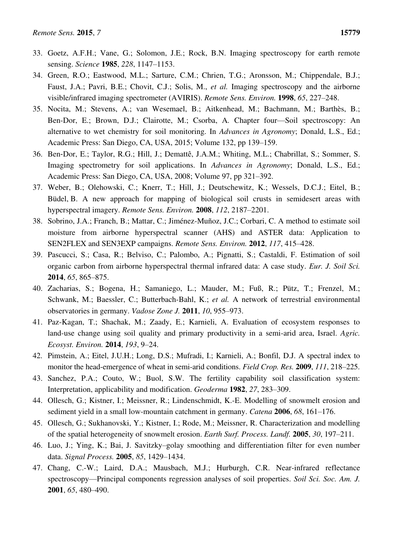- 33. Goetz, A.F.H.; Vane, G.; Solomon, J.E.; Rock, B.N. Imaging spectroscopy for earth remote sensing. *Science* **1985**, *228*, 1147–1153.
- 34. Green, R.O.; Eastwood, M.L.; Sarture, C.M.; Chrien, T.G.; Aronsson, M.; Chippendale, B.J.; Faust, J.A.; Pavri, B.E.; Chovit, C.J.; Solis, M., *et al.* Imaging spectroscopy and the airborne visible/infrared imaging spectrometer (AVIRIS). *Remote Sens. Environ.* **1998**, *65*, 227–248.
- 35. Nocita, M.; Stevens, A.; van Wesemael, B.; Aitkenhead, M.; Bachmann, M.; Barthès, B.; Ben-Dor, E.; Brown, D.J.; Clairotte, M.; Csorba, A*.* Chapter four—Soil spectroscopy: An alternative to wet chemistry for soil monitoring. In *Advances in Agronomy*; Donald, L.S., Ed.; Academic Press: San Diego, CA, USA, 2015; Volume 132, pp 139–159.
- 36. Ben‐Dor, E.; Taylor, R.G.; Hill, J.; Demattê, J.A.M.; Whiting, M.L.; Chabrillat, S.; Sommer, S. Imaging spectrometry for soil applications. In *Advances in Agronomy*; Donald, L.S., Ed.; Academic Press: San Diego, CA, USA, 2008; Volume 97, pp 321–392.
- 37. Weber, B.; Olehowski, C.; Knerr, T.; Hill, J.; Deutschewitz, K.; Wessels, D.C.J.; Eitel, B.; Büdel, B. A new approach for mapping of biological soil crusts in semidesert areas with hyperspectral imagery. *Remote Sens. Environ.* **2008**, *112*, 2187–2201.
- 38. Sobrino, J.A.; Franch, B.; Mattar, C.; Jiménez-Muñoz, J.C.; Corbari, C. A method to estimate soil moisture from airborne hyperspectral scanner (AHS) and ASTER data: Application to SEN2FLEX and SEN3EXP campaigns. *Remote Sens. Environ.* **2012**, *117*, 415–428.
- 39. Pascucci, S.; Casa, R.; Belviso, C.; Palombo, A.; Pignatti, S.; Castaldi, F. Estimation of soil organic carbon from airborne hyperspectral thermal infrared data: A case study. *Eur. J. Soil Sci.*  **2014**, *65*, 865–875.
- 40. Zacharias, S.; Bogena, H.; Samaniego, L.; Mauder, M.; Fuß, R.; Pütz, T.; Frenzel, M.; Schwank, M.; Baessler, C.; Butterbach-Bahl, K.; *et al.* A network of terrestrial environmental observatories in germany. *Vadose Zone J.* **2011**, *10*, 955–973.
- 41. Paz-Kagan, T.; Shachak, M.; Zaady, E.; Karnieli, A. Evaluation of ecosystem responses to land-use change using soil quality and primary productivity in a semi-arid area, Israel. *Agric. Ecosyst. Environ.* **2014**, *193*, 9–24.
- 42. Pimstein, A.; Eitel, J.U.H.; Long, D.S.; Mufradi, I.; Karnieli, A.; Bonfil, D.J. A spectral index to monitor the head-emergence of wheat in semi-arid conditions. *Field Crop. Res.* **2009**, *111*, 218–225.
- 43. Sanchez, P.A.; Couto, W.; Buol, S.W. The fertility capability soil classification system: Interpretation, applicability and modification. *Geoderma* **1982**, *27*, 283–309.
- 44. Ollesch, G.; Kistner, I.; Meissner, R.; Lindenschmidt, K.-E. Modelling of snowmelt erosion and sediment yield in a small low-mountain catchment in germany. *Catena* **2006**, *68*, 161–176.
- 45. Ollesch, G.; Sukhanovski, Y.; Kistner, I.; Rode, M.; Meissner, R. Characterization and modelling of the spatial heterogeneity of snowmelt erosion. *Earth Surf. Process. Landf.* **2005**, *30*, 197–211.
- 46. Luo, J.; Ying, K.; Bai, J. Savitzky–golay smoothing and differentiation filter for even number data. *Signal Process.* **2005**, *85*, 1429–1434.
- 47. Chang, C.-W.; Laird, D.A.; Mausbach, M.J.; Hurburgh, C.R. Near-infrared reflectance spectroscopy—Principal components regression analyses of soil properties. *Soil Sci. Soc. Am. J.*  **2001**, *65*, 480–490.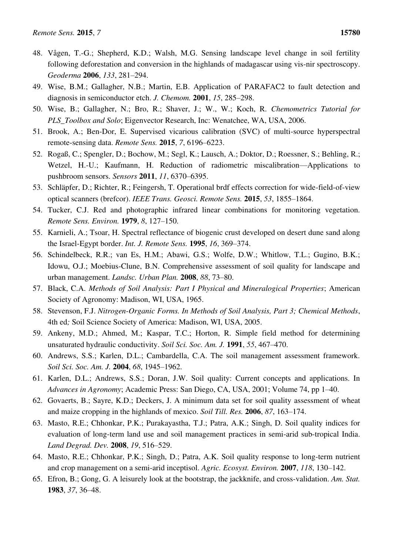- 48. Vågen, T.-G.; Shepherd, K.D.; Walsh, M.G. Sensing landscape level change in soil fertility following deforestation and conversion in the highlands of madagascar using vis-nir spectroscopy. *Geoderma* **2006**, *133*, 281–294.
- 49. Wise, B.M.; Gallagher, N.B.; Martin, E.B. Application of PARAFAC2 to fault detection and diagnosis in semiconductor etch. *J. Chemom.* **2001**, *15*, 285–298.
- 50. Wise, B.; Gallagher, N.; Bro, R.; Shaver, J.; W., W.; Koch, R. *Chemometrics Tutorial for PLS\_Toolbox and Solo*; Eigenvector Research, Inc: Wenatchee, WA, USA, 2006.
- 51. Brook, A.; Ben-Dor, E. Supervised vicarious calibration (SVC) of multi-source hyperspectral remote-sensing data. *Remote Sens.* **2015**, *7*, 6196–6223.
- 52. Rogaß, C.; Spengler, D.; Bochow, M.; Segl, K.; Lausch, A.; Doktor, D.; Roessner, S.; Behling, R.; Wetzel, H.-U.; Kaufmann, H. Reduction of radiometric miscalibration—Applications to pushbroom sensors. *Sensors* **2011**, *11*, 6370–6395.
- 53. Schläpfer, D.; Richter, R.; Feingersh, T. Operational brdf effects correction for wide-field-of-view optical scanners (brefcor). *IEEE Trans. Geosci. Remote Sens.* **2015**, *53*, 1855–1864.
- 54. Tucker, C.J. Red and photographic infrared linear combinations for monitoring vegetation. *Remote Sens. Environ.* **1979**, *8*, 127–150.
- 55. Karnieli, A.; Tsoar, H. Spectral reflectance of biogenic crust developed on desert dune sand along the Israel-Egypt border. *Int. J. Remote Sens.* **1995**, *16*, 369–374.
- 56. Schindelbeck, R.R.; van Es, H.M.; Abawi, G.S.; Wolfe, D.W.; Whitlow, T.L.; Gugino, B.K.; Idowu, O.J.; Moebius-Clune, B.N. Comprehensive assessment of soil quality for landscape and urban management. *Landsc. Urban Plan.* **2008**, *88*, 73–80.
- 57. Black, C.A. *Methods of Soil Analysis: Part I Physical and Mineralogical Properties*; American Society of Agronomy: Madison, WI, USA, 1965.
- 58. Stevenson, F.J. *Nitrogen-Organic Forms. In Methods of Soil Analysis, Part 3; Chemical Methods*, 4th ed*;* Soil Science Society of America: Madison, WI, USA, 2005.
- 59. Ankeny, M.D.; Ahmed, M.; Kaspar, T.C.; Horton, R. Simple field method for determining unsaturated hydraulic conductivity. *Soil Sci. Soc. Am. J.* **1991**, *55*, 467–470.
- 60. Andrews, S.S.; Karlen, D.L.; Cambardella, C.A. The soil management assessment framework. *Soil Sci. Soc. Am. J.* **2004**, *68*, 1945–1962.
- 61. Karlen, D.L.; Andrews, S.S.; Doran, J.W. Soil quality: Current concepts and applications. In *Advances in Agronomy*; Academic Press: San Diego, CA, USA, 2001; Volume 74, pp 1–40.
- 62. Govaerts, B.; Sayre, K.D.; Deckers, J. A minimum data set for soil quality assessment of wheat and maize cropping in the highlands of mexico. *Soil Till. Res.* **2006**, *87*, 163–174.
- 63. Masto, R.E.; Chhonkar, P.K.; Purakayastha, T.J.; Patra, A.K.; Singh, D. Soil quality indices for evaluation of long-term land use and soil management practices in semi-arid sub-tropical India. *Land Degrad. Dev.* **2008**, *19*, 516–529.
- 64. Masto, R.E.; Chhonkar, P.K.; Singh, D.; Patra, A.K. Soil quality response to long-term nutrient and crop management on a semi-arid inceptisol. *Agric. Ecosyst. Environ.* **2007**, *118*, 130–142.
- 65. Efron, B.; Gong, G. A leisurely look at the bootstrap, the jackknife, and cross-validation. *Am. Stat.*  **1983**, *37*, 36–48.